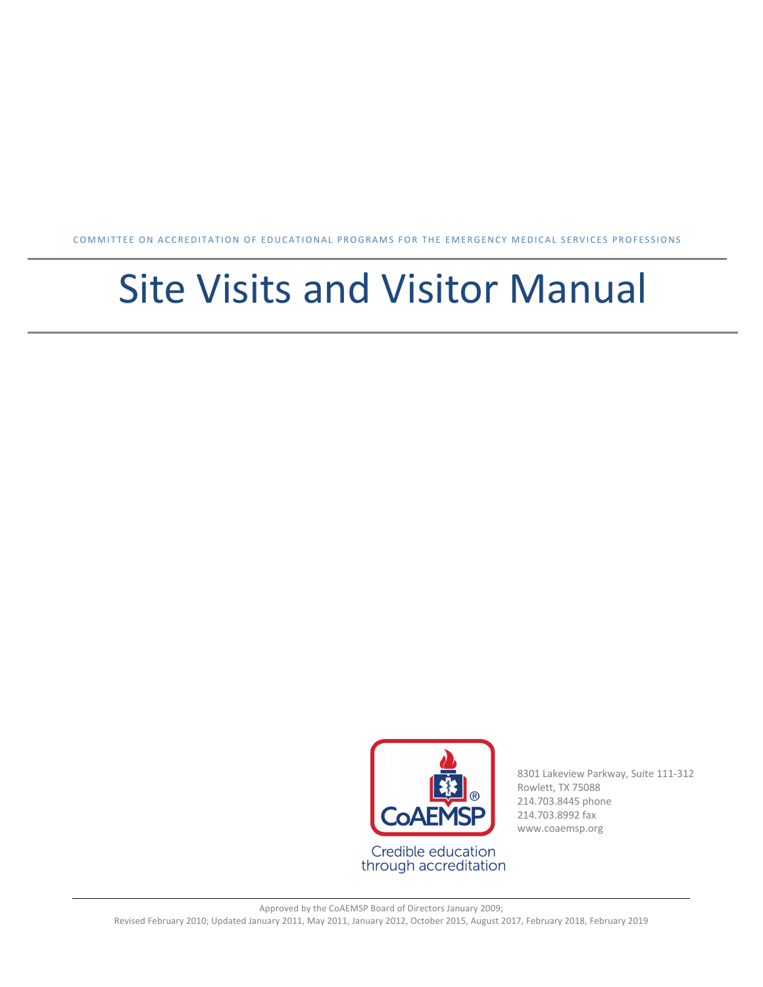COMMITTEE ON ACCREDITATION OF EDUCATIONAL PROGRAMS FOR THE EMERGENCY MEDICAL SERVICES PROFESSIONS

# Site Visits and Visitor Manual



8301 Lakeview Parkway, Suite 111-312 Rowlett, TX 75088 214.703.8445 phone 214.703.8992 fax www.coaemsp.org

Approved by the CoAEMSP Board of Directors January 2009; Revised February 2010; Updated January 2011, May 2011, January 2012, October 2015, August 2017, February 2018, February 2019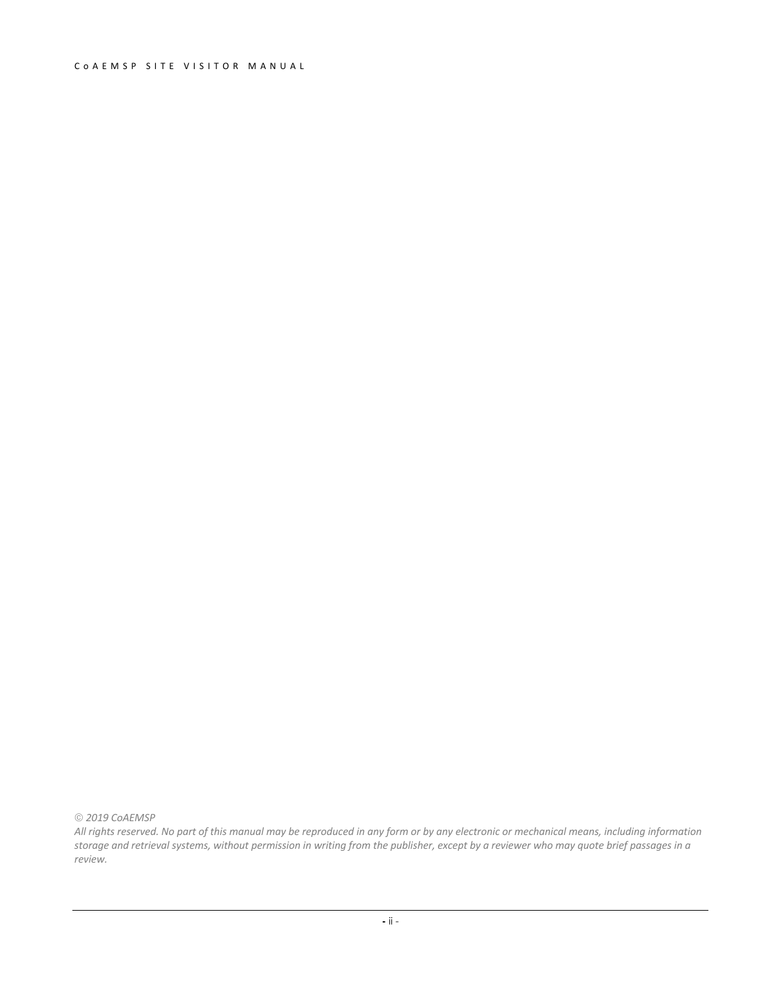#### CoAEMSP SITE VISITOR MANUAL

ã *2019 CoAEMSP*

*All rights reserved. No part of this manual may be reproduced in any form or by any electronic or mechanical means, including information storage and retrieval systems, without permission in writing from the publisher, except by a reviewer who may quote brief passages in a review.*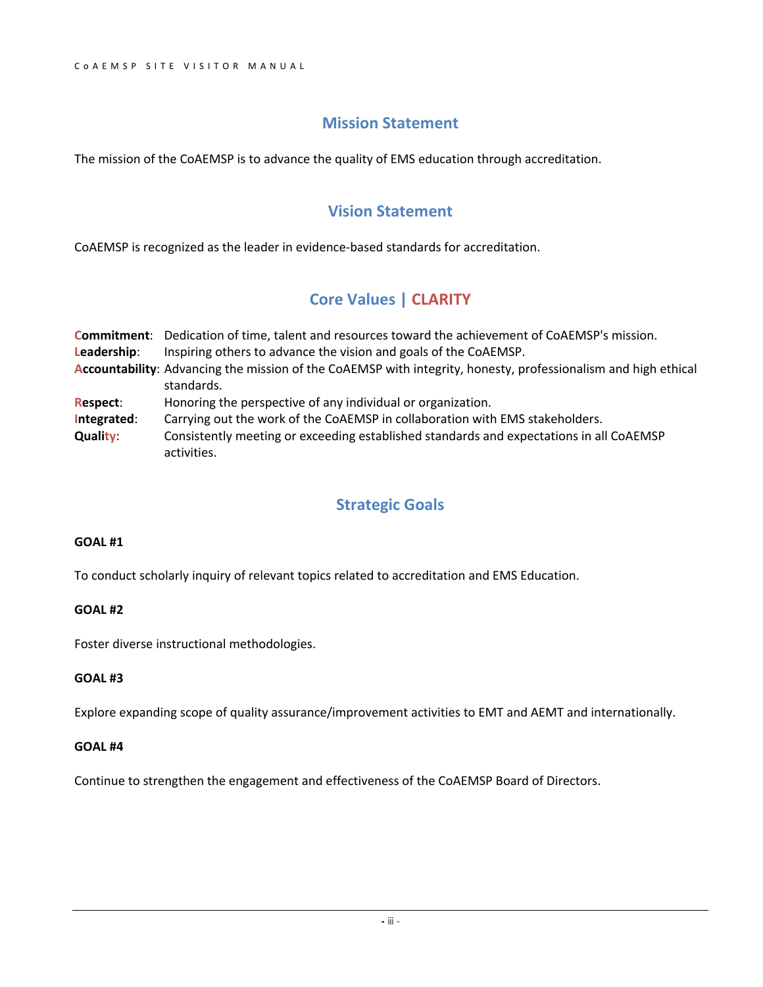#### **Mission Statement**

The mission of the CoAEMSP is to advance the quality of EMS education through accreditation.

#### **Vision Statement**

CoAEMSP is recognized as the leader in evidence-based standards for accreditation.

#### **Core Values | CLARITY**

|                 | <b>Commitment:</b> Dedication of time, talent and resources toward the achievement of CoAEMSP's mission.                     |  |  |
|-----------------|------------------------------------------------------------------------------------------------------------------------------|--|--|
| Leadership:     | Inspiring others to advance the vision and goals of the CoAEMSP.                                                             |  |  |
|                 | Accountability: Advancing the mission of the CoAEMSP with integrity, honesty, professionalism and high ethical<br>standards. |  |  |
| <b>Respect:</b> | Honoring the perspective of any individual or organization.                                                                  |  |  |
| Integrated:     | Carrying out the work of the CoAEMSP in collaboration with EMS stakeholders.                                                 |  |  |
| <b>Quality:</b> | Consistently meeting or exceeding established standards and expectations in all CoAEMSP<br>activities.                       |  |  |

#### **Strategic Goals**

#### **GOAL #1**

To conduct scholarly inquiry of relevant topics related to accreditation and EMS Education.

#### **GOAL #2**

Foster diverse instructional methodologies.

#### **GOAL #3**

Explore expanding scope of quality assurance/improvement activities to EMT and AEMT and internationally.

#### **GOAL #4**

Continue to strengthen the engagement and effectiveness of the CoAEMSP Board of Directors.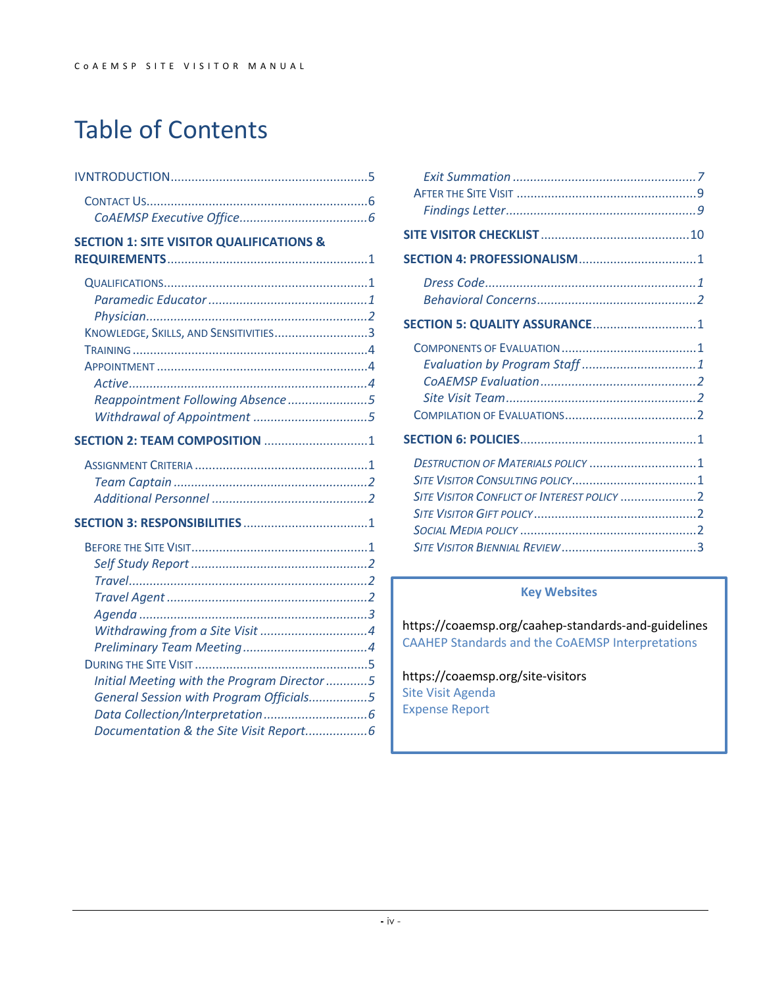# Table of Contents

| SECTION 5: QUALITY ASSURANCE 1    |
|-----------------------------------|
|                                   |
|                                   |
| DESTRUCTION OF MATERIALS POLICY 1 |
|                                   |

#### **Key Websites**

https://coaemsp.org/caahep-standards-and-guidelines CAAHEP Standards and the CoAEMSP Interpretations

https://coaemsp.org/site-visitors Site Visit Agenda Expense Report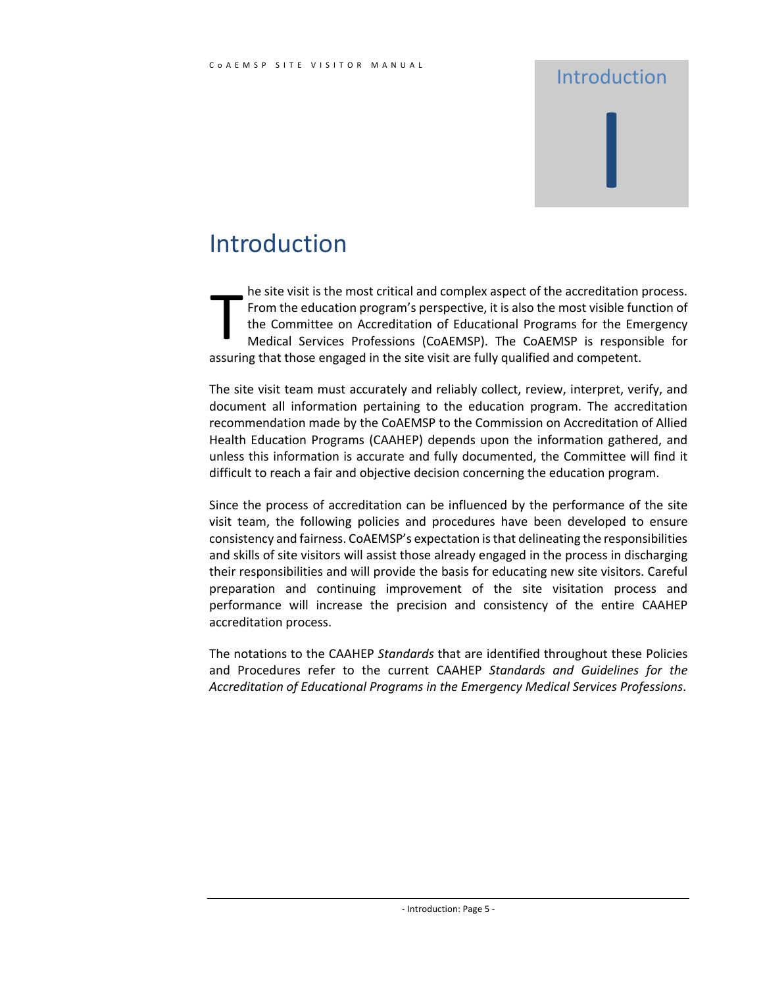# Introduction I

### Introduction

he site visit is the most critical and complex aspect of the accreditation process. From the education program's perspective, it is also the most visible function of the Committee on Accreditation of Educational Programs for the Emergency Medical Services Professions (CoAEMSP). The CoAEMSP is responsible for assuring that those engaged in the site visit are fully qualified and competent. T

The site visit team must accurately and reliably collect, review, interpret, verify, and document all information pertaining to the education program. The accreditation recommendation made by the CoAEMSP to the Commission on Accreditation of Allied Health Education Programs (CAAHEP) depends upon the information gathered, and unless this information is accurate and fully documented, the Committee will find it difficult to reach a fair and objective decision concerning the education program.

Since the process of accreditation can be influenced by the performance of the site visit team, the following policies and procedures have been developed to ensure consistency and fairness. CoAEMSP's expectation is that delineating the responsibilities and skills of site visitors will assist those already engaged in the process in discharging their responsibilities and will provide the basis for educating new site visitors. Careful preparation and continuing improvement of the site visitation process and performance will increase the precision and consistency of the entire CAAHEP accreditation process.

The notations to the CAAHEP *Standards* that are identified throughout these Policies and Procedures refer to the current CAAHEP *Standards and Guidelines for the Accreditation of Educational Programs in the Emergency Medical Services Professions*.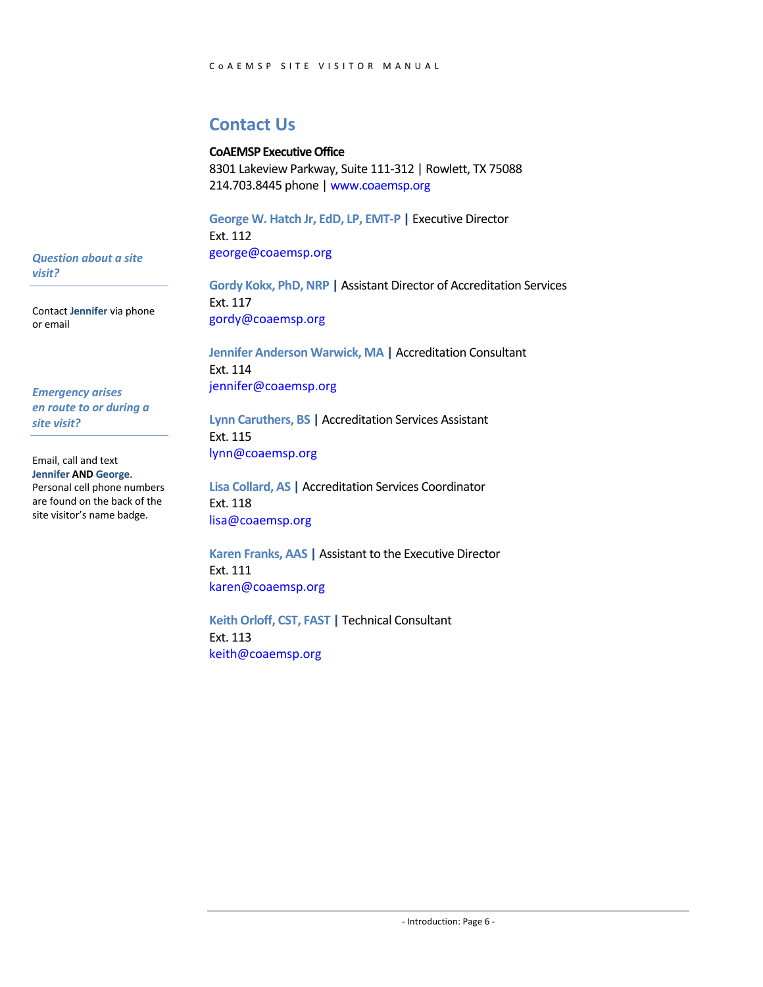#### **Contact Us**

#### **CoAEMSP Executive Office**

8301 Lakeview Parkway, Suite 111-312 | Rowlett, TX 75088 214.703.8445 phone | www.coaemsp.org

**George W. Hatch Jr, EdD, LP, EMT-P |** Executive Director Ext. 112 george@coaemsp.org

**Gordy Kokx, PhD, NRP |** Assistant Director of Accreditation Services Ext. 117 gordy@coaemsp.org

**Jennifer Anderson Warwick, MA |** Accreditation Consultant Ext. 114 jennifer@coaemsp.org

**Lynn Caruthers, BS |** Accreditation Services Assistant Ext. 115 lynn@coaemsp.org

**Lisa Collard, AS |** Accreditation Services Coordinator Ext. 118 lisa@coaemsp.org

**Karen Franks, AAS |** Assistant to the Executive Director Ext. 111 karen@coaemsp.org

**Keith Orloff, CST, FAST |** Technical Consultant Ext. 113 keith@coaemsp.org

*Question about a site visit?*

Contact **Jennifer** via phone or email

*Emergency arises en route to or during a site visit?*

Email, call and text **Jennifer AND George**. Personal cell phone numbers are found on the back of the site visitor's name badge.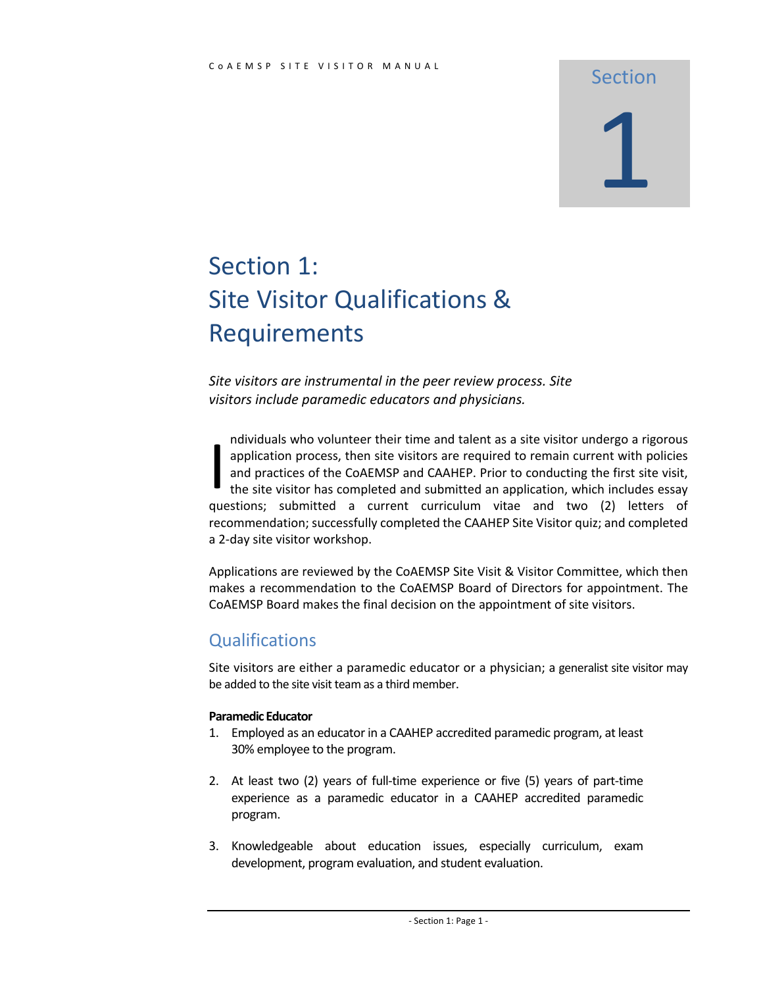# Section 1

## Section 1: Site Visitor Qualifications & Requirements

*Site visitors are instrumental in the peer review process. Site visitors include paramedic educators and physicians.*

ndividuals who volunteer their time and talent as a site visitor undergo a rigorous application process, then site visitors are required to remain current with policies and practices of the CoAEMSP and CAAHEP. Prior to conducting the first site visit, the site visitor has completed and submitted an application, which includes essay questions; submitted a current curriculum vitae and two (2) letters of recommendation; successfully completed the CAAHEP Site Visitor quiz; and completed a 2-day site visitor workshop. I

Applications are reviewed by the CoAEMSP Site Visit & Visitor Committee, which then makes a recommendation to the CoAEMSP Board of Directors for appointment. The CoAEMSP Board makes the final decision on the appointment of site visitors.

#### **Qualifications**

Site visitors are either a paramedic educator or a physician; a generalist site visitor may be added to the site visit team as a third member.

#### **Paramedic Educator**

- 1. Employed as an educator in a CAAHEP accredited paramedic program, at least 30% employee to the program.
- 2. At least two (2) years of full-time experience or five (5) years of part-time experience as a paramedic educator in a CAAHEP accredited paramedic program.
- 3. Knowledgeable about education issues, especially curriculum, exam development, program evaluation, and student evaluation.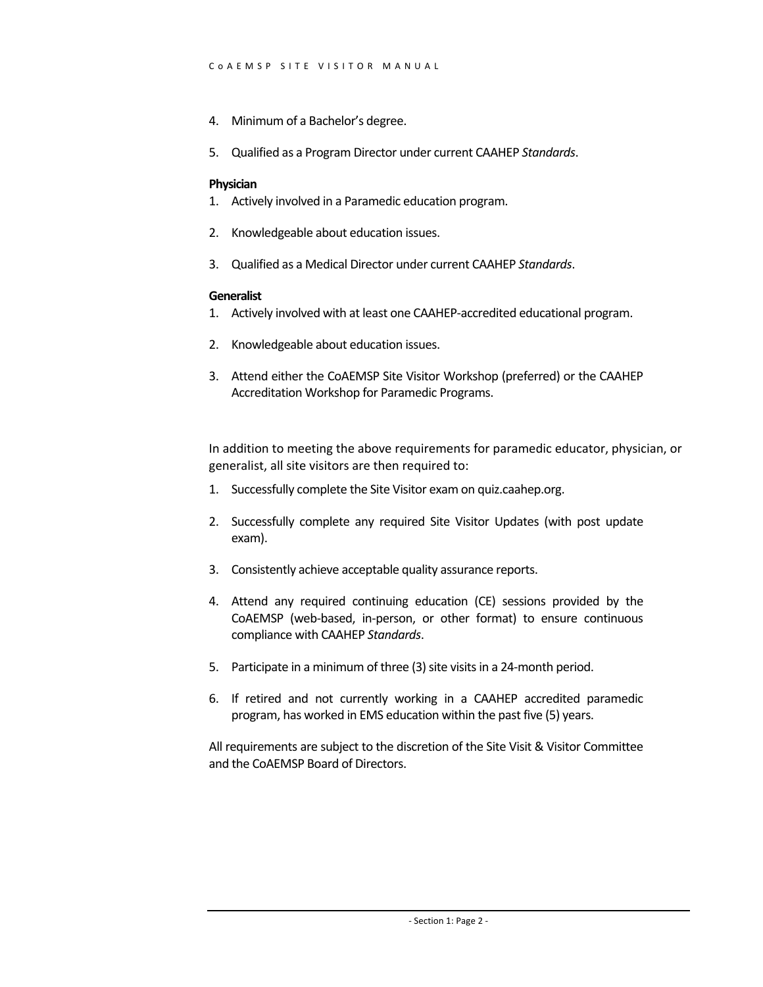- 4. Minimum of a Bachelor's degree.
- 5. Qualified as a Program Director under current CAAHEP *Standards*.

#### **Physician**

- 1. Actively involved in a Paramedic education program.
- 2. Knowledgeable about education issues.
- 3. Qualified as a Medical Director under current CAAHEP *Standards*.

#### **Generalist**

- 1. Actively involved with at least one CAAHEP-accredited educational program.
- 2. Knowledgeable about education issues.
- 3. Attend either the CoAEMSP Site Visitor Workshop (preferred) or the CAAHEP Accreditation Workshop for Paramedic Programs.

In addition to meeting the above requirements for paramedic educator, physician, or generalist, all site visitors are then required to:

- 1. Successfully complete the Site Visitor exam on quiz.caahep.org.
- 2. Successfully complete any required Site Visitor Updates (with post update exam).
- 3. Consistently achieve acceptable quality assurance reports.
- 4. Attend any required continuing education (CE) sessions provided by the CoAEMSP (web-based, in-person, or other format) to ensure continuous compliance with CAAHEP *Standards*.
- 5. Participate in a minimum of three (3) site visits in a 24-month period.
- 6. If retired and not currently working in a CAAHEP accredited paramedic program, has worked in EMS education within the past five (5) years.

All requirements are subject to the discretion of the Site Visit & Visitor Committee and the CoAEMSP Board of Directors.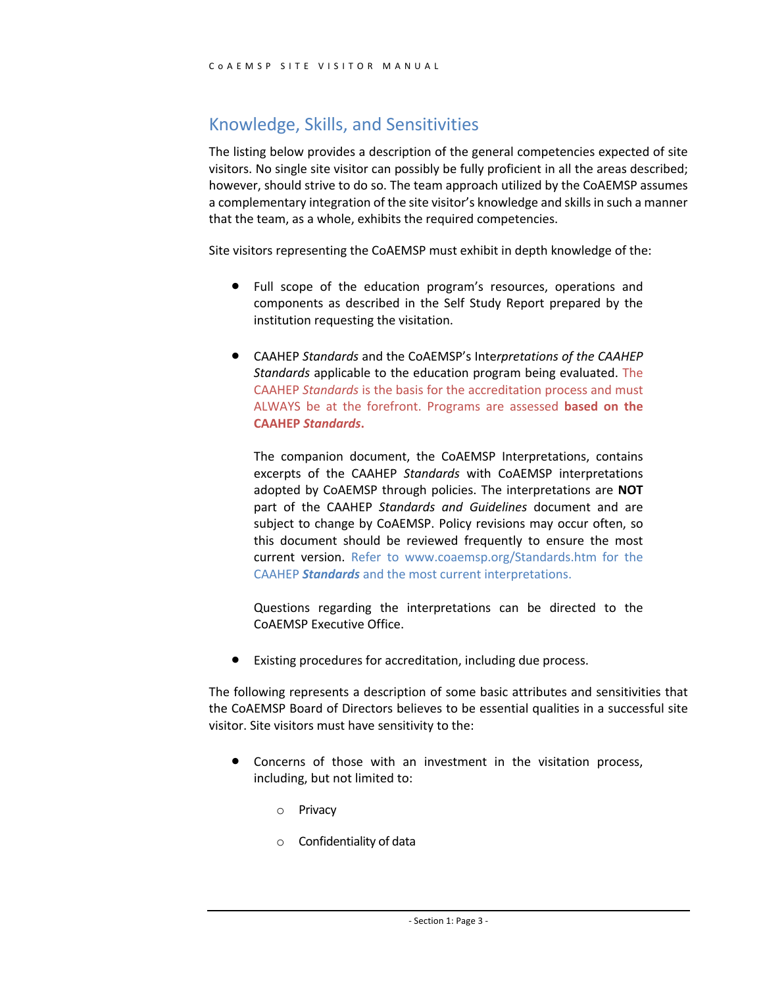#### Knowledge, Skills, and Sensitivities

The listing below provides a description of the general competencies expected of site visitors. No single site visitor can possibly be fully proficient in all the areas described; however, should strive to do so. The team approach utilized by the CoAEMSP assumes a complementary integration of the site visitor's knowledge and skills in such a manner that the team, as a whole, exhibits the required competencies.

Site visitors representing the CoAEMSP must exhibit in depth knowledge of the:

- Full scope of the education program's resources, operations and components as described in the Self Study Report prepared by the institution requesting the visitation.
- CAAHEP *Standards* and the CoAEMSP's Inte*rpretations of the CAAHEP Standards* applicable to the education program being evaluated. The CAAHEP *Standards* is the basis for the accreditation process and must ALWAYS be at the forefront. Programs are assessed **based on the CAAHEP** *Standards***.**

The companion document, the CoAEMSP Interpretations, contains excerpts of the CAAHEP *Standards* with CoAEMSP interpretations adopted by CoAEMSP through policies. The interpretations are **NOT** part of the CAAHEP *Standards and Guidelines* document and are subject to change by CoAEMSP. Policy revisions may occur often, so this document should be reviewed frequently to ensure the most current version. Refer to www.coaemsp.org/Standards.htm for the CAAHEP *Standards* and the most current interpretations.

Questions regarding the interpretations can be directed to the CoAEMSP Executive Office.

Existing procedures for accreditation, including due process.

The following represents a description of some basic attributes and sensitivities that the CoAEMSP Board of Directors believes to be essential qualities in a successful site visitor. Site visitors must have sensitivity to the:

- Concerns of those with an investment in the visitation process, including, but not limited to:
	- o Privacy
	- o Confidentiality of data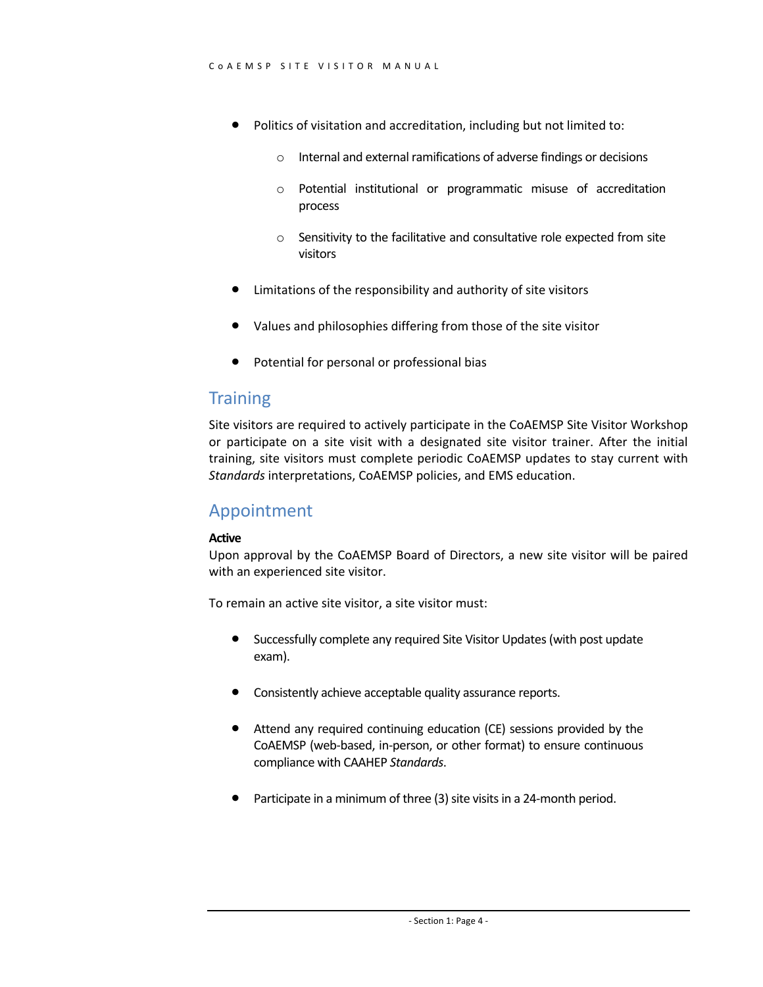- Politics of visitation and accreditation, including but not limited to:
	- o Internal and external ramifications of adverse findings or decisions
	- o Potential institutional or programmatic misuse of accreditation process
	- o Sensitivity to the facilitative and consultative role expected from site visitors
- Limitations of the responsibility and authority of site visitors
- Values and philosophies differing from those of the site visitor
- Potential for personal or professional bias

#### **Training**

Site visitors are required to actively participate in the CoAEMSP Site Visitor Workshop or participate on a site visit with a designated site visitor trainer. After the initial training, site visitors must complete periodic CoAEMSP updates to stay current with *Standards* interpretations, CoAEMSP policies, and EMS education.

#### Appointment

#### **Active**

Upon approval by the CoAEMSP Board of Directors, a new site visitor will be paired with an experienced site visitor.

To remain an active site visitor, a site visitor must:

- Successfully complete any required Site Visitor Updates (with post update exam).
- Consistently achieve acceptable quality assurance reports.
- Attend any required continuing education (CE) sessions provided by the CoAEMSP (web-based, in-person, or other format) to ensure continuous compliance with CAAHEP *Standards*.
- Participate in a minimum of three (3) site visits in a 24-month period.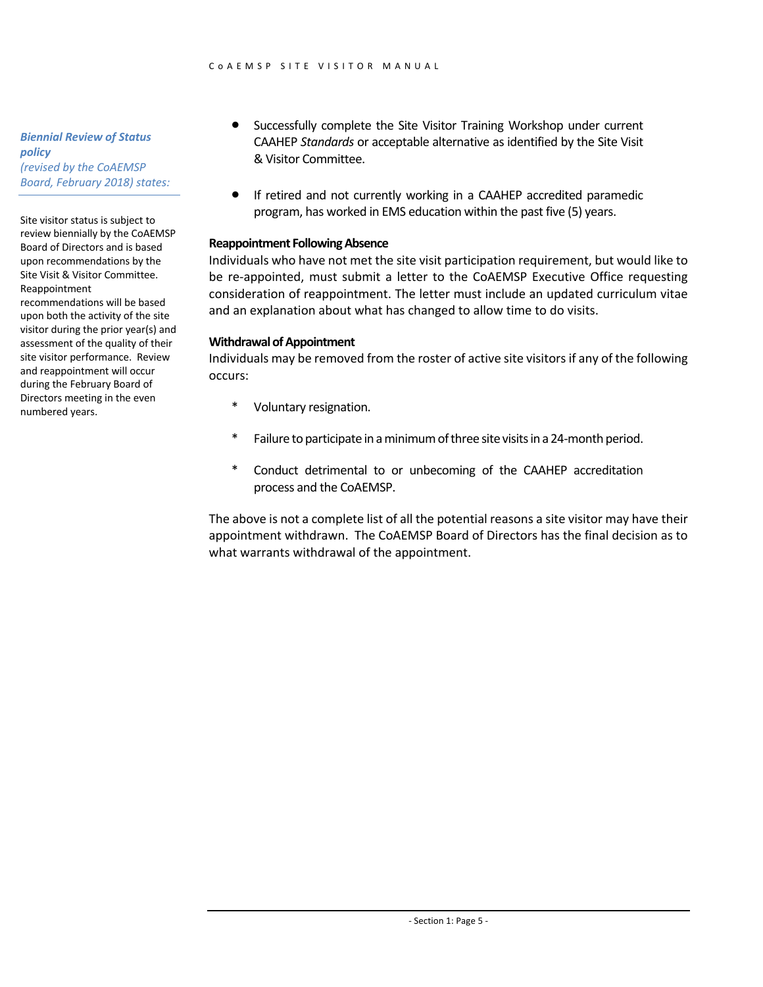*Biennial Review of Status policy (revised by the CoAEMSP Board, February 2018) states:*

Site visitor status is subject to review biennially by the CoAEMSP Board of Directors and is based upon recommendations by the Site Visit & Visitor Committee. Reappointment recommendations will be based upon both the activity of the site visitor during the prior year(s) and assessment of the quality of their site visitor performance. Review and reappointment will occur during the February Board of Directors meeting in the even

numbered years.

- Successfully complete the Site Visitor Training Workshop under current CAAHEP *Standards* or acceptable alternative as identified by the Site Visit & Visitor Committee.
- If retired and not currently working in a CAAHEP accredited paramedic program, has worked in EMS education within the past five (5) years.

#### **Reappointment Following Absence**

Individuals who have not met the site visit participation requirement, but would like to be re-appointed, must submit a letter to the CoAEMSP Executive Office requesting consideration of reappointment. The letter must include an updated curriculum vitae and an explanation about what has changed to allow time to do visits.

#### **Withdrawal of Appointment**

Individuals may be removed from the roster of active site visitors if any of the following occurs:

- Voluntary resignation.
- \* Failure to participate in a minimum of three site visits in a 24-month period.
- \* Conduct detrimental to or unbecoming of the CAAHEP accreditation process and the CoAEMSP.

The above is not a complete list of all the potential reasons a site visitor may have their appointment withdrawn. The CoAEMSP Board of Directors has the final decision as to what warrants withdrawal of the appointment.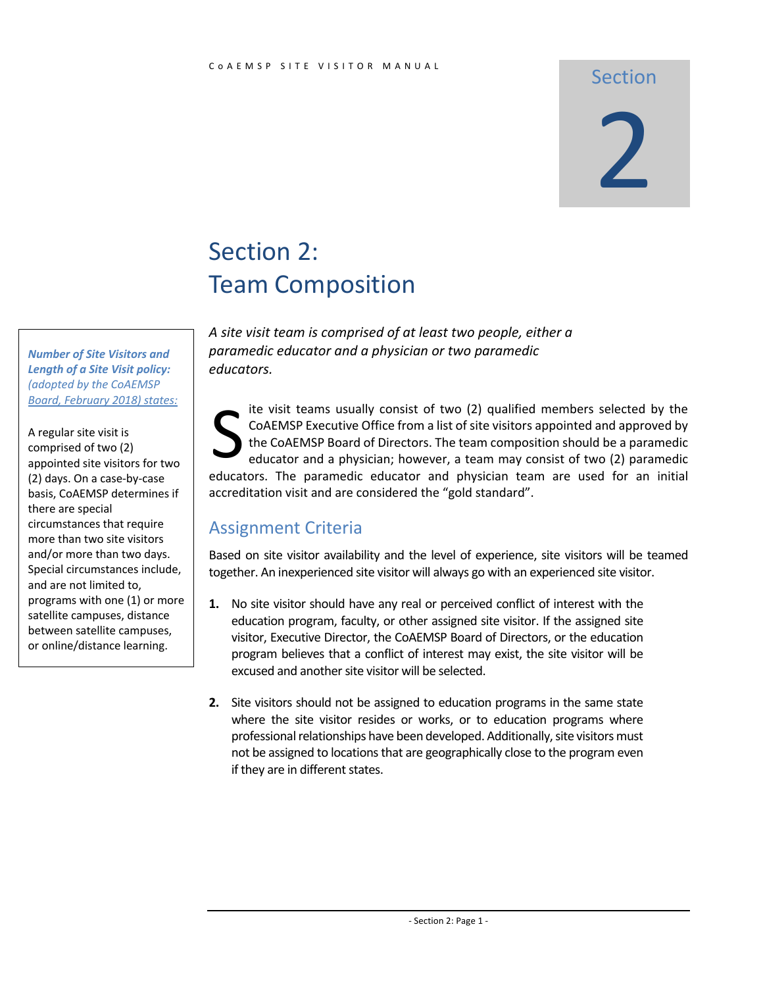#### Section

# 2

# Section 2: Team Composition

*A site visit team is comprised of at least two people, either a paramedic educator and a physician or two paramedic educators.*

ite visit teams usually consist of two (2) qualified members selected by the CoAEMSP Executive Office from a list of site visitors appointed and approved by the CoAEMSP Board of Directors. The team composition should be a paramedic educator and a physician; however, a team may consist of two (2) paramedic educators. The paramedic educator and physician team are used for an initial accreditation visit and are considered the "gold standard". S

#### Assignment Criteria

Based on site visitor availability and the level of experience, site visitors will be teamed together. An inexperienced site visitor will always go with an experienced site visitor.

- **1.** No site visitor should have any real or perceived conflict of interest with the education program, faculty, or other assigned site visitor. If the assigned site visitor, Executive Director, the CoAEMSP Board of Directors, or the education program believes that a conflict of interest may exist, the site visitor will be excused and another site visitor will be selected.
- **2.** Site visitors should not be assigned to education programs in the same state where the site visitor resides or works, or to education programs where professional relationships have been developed. Additionally, site visitors must not be assigned to locations that are geographically close to the program even if they are in different states.

*Number of Site Visitors and Length of a Site Visit policy: (adopted by the CoAEMSP Board, February 2018) states:*

A regular site visit is comprised of two (2) appointed site visitors for two (2) days. On a case-by-case basis, CoAEMSP determines if there are special circumstances that require more than two site visitors and/or more than two days. Special circumstances include, and are not limited to, programs with one (1) or more satellite campuses, distance between satellite campuses, or online/distance learning.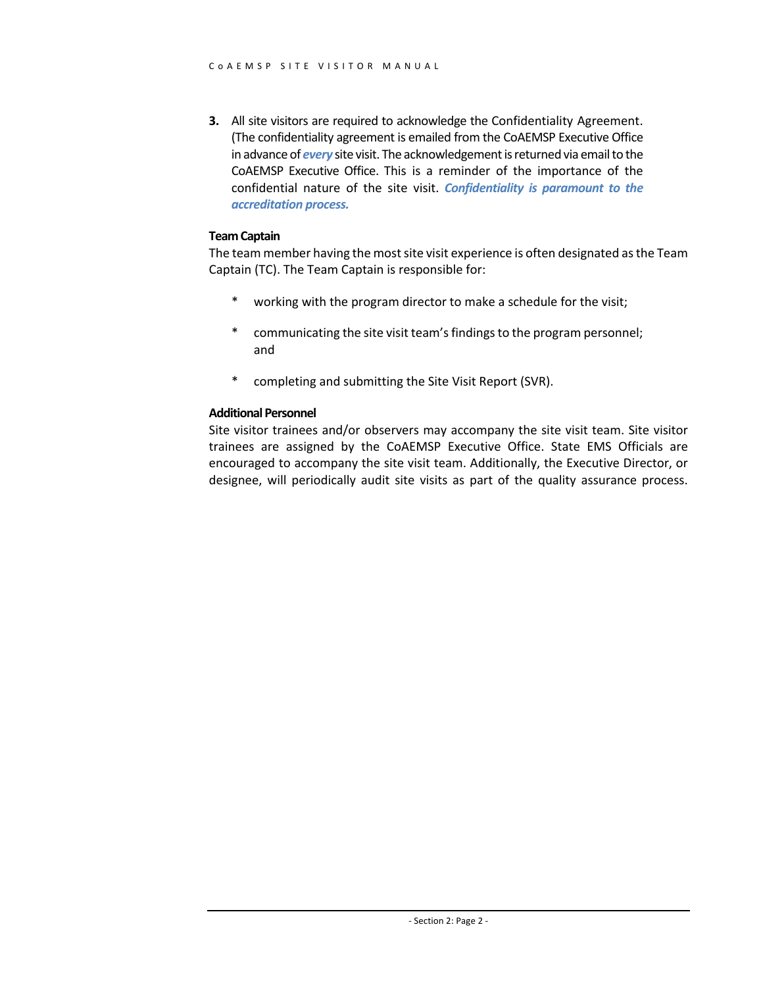**3.** All site visitors are required to acknowledge the Confidentiality Agreement. (The confidentiality agreement is emailed from the CoAEMSP Executive Office in advance of *every* site visit. The acknowledgement isreturned via email to the CoAEMSP Executive Office. This is a reminder of the importance of the confidential nature of the site visit. *Confidentiality is paramount to the accreditation process.*

#### **Team Captain**

The team member having the most site visit experience is often designated as the Team Captain (TC). The Team Captain is responsible for:

- \* working with the program director to make a schedule for the visit;
- \* communicating the site visit team's findings to the program personnel; and
- \* completing and submitting the Site Visit Report (SVR).

#### **Additional Personnel**

Site visitor trainees and/or observers may accompany the site visit team. Site visitor trainees are assigned by the CoAEMSP Executive Office. State EMS Officials are encouraged to accompany the site visit team. Additionally, the Executive Director, or designee, will periodically audit site visits as part of the quality assurance process.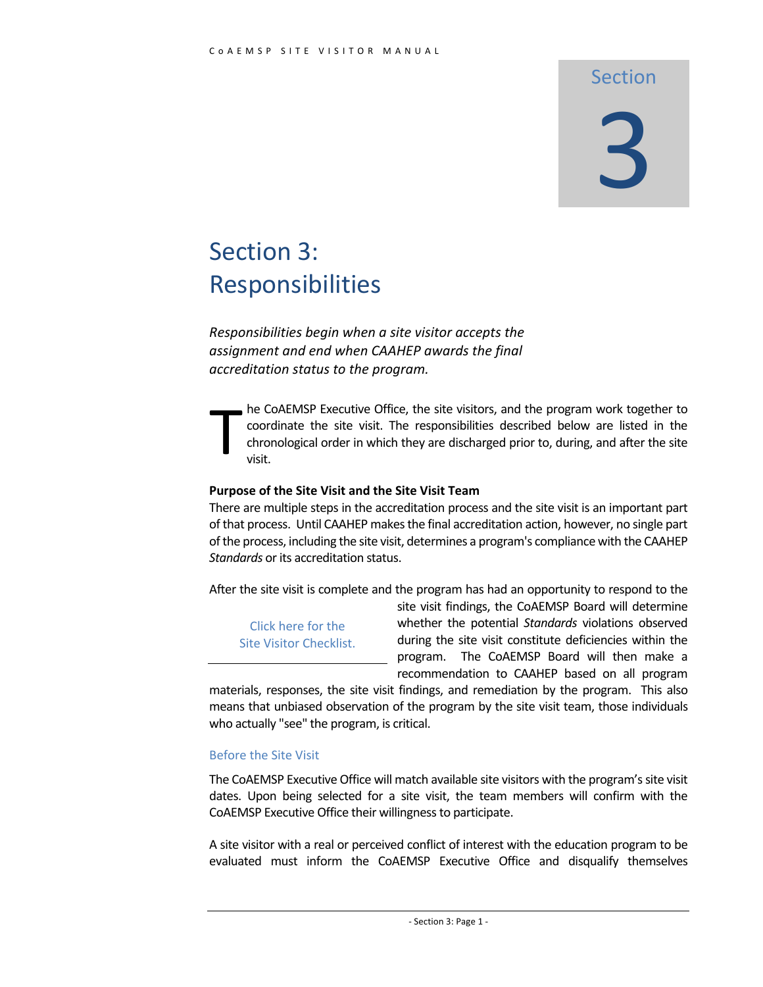### Section

# 3

# Section 3: Responsibilities

*Responsibilities begin when a site visitor accepts the assignment and end when CAAHEP awards the final accreditation status to the program.*

he CoAEMSP Executive Office, the site visitors, and the program work together to coordinate the site visit. The responsibilities described below are listed in the chronological order in which they are discharged prior to, during, and after the site visit. T

#### **Purpose of the Site Visit and the Site Visit Team**

There are multiple steps in the accreditation process and the site visit is an important part of that process. Until CAAHEP makes the final accreditation action, however, no single part of the process, including the site visit, determines a program's compliance with the CAAHEP *Standards* or its accreditation status.

After the site visit is complete and the program has had an opportunity to respond to the

Click here for the Site Visitor Checklist. site visit findings, the CoAEMSP Board will determine whether the potential *Standards* violations observed during the site visit constitute deficiencies within the program. The CoAEMSP Board will then make a recommendation to CAAHEP based on all program

materials, responses, the site visit findings, and remediation by the program. This also means that unbiased observation of the program by the site visit team, those individuals who actually "see" the program, is critical.

#### Before the Site Visit

The CoAEMSP Executive Office will match available site visitors with the program's site visit dates. Upon being selected for a site visit, the team members will confirm with the CoAEMSP Executive Office their willingness to participate.

A site visitor with a real or perceived conflict of interest with the education program to be evaluated must inform the CoAEMSP Executive Office and disqualify themselves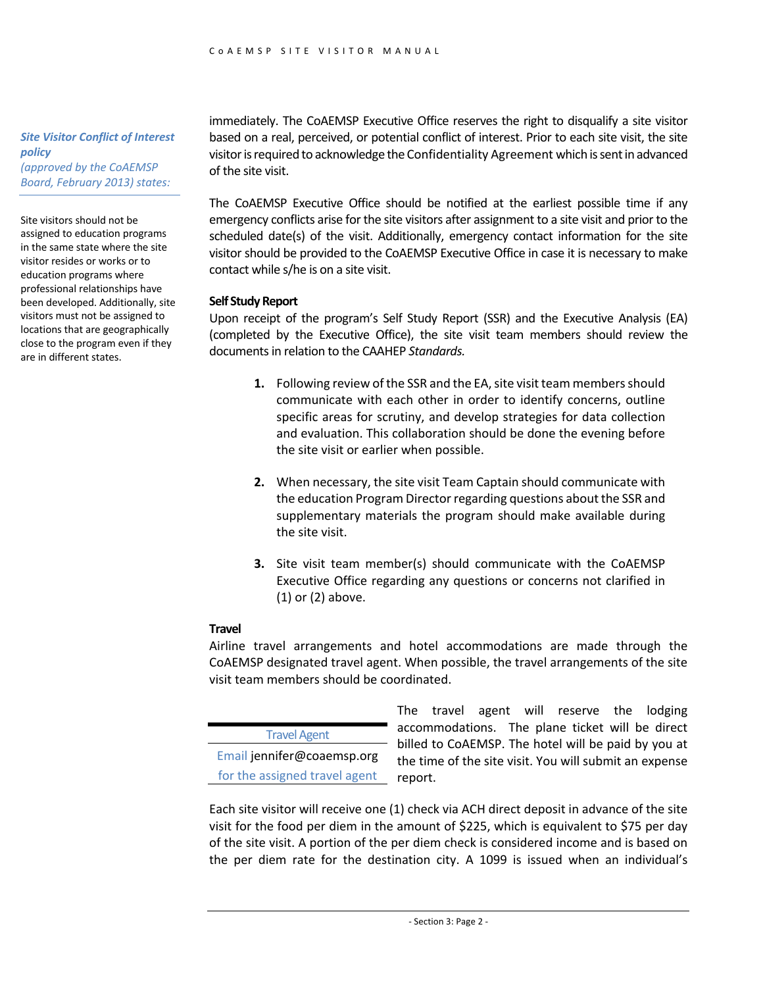#### *Site Visitor Conflict of Interest policy (approved by the CoAEMSP Board, February 2013) states:*

Site visitors should not be assigned to education programs in the same state where the site visitor resides or works or to education programs where professional relationships have been developed. Additionally, site visitors must not be assigned to locations that are geographically close to the program even if they are in different states.

immediately. The CoAEMSP Executive Office reserves the right to disqualify a site visitor based on a real, perceived, or potential conflict of interest. Prior to each site visit, the site visitor is required to acknowledge the Confidentiality Agreement which is sent in advanced of the site visit.

The CoAEMSP Executive Office should be notified at the earliest possible time if any emergency conflicts arise for the site visitors after assignment to a site visit and prior to the scheduled date(s) of the visit. Additionally, emergency contact information for the site visitor should be provided to the CoAEMSP Executive Office in case it is necessary to make contact while s/he is on a site visit.

#### **Self Study Report**

Upon receipt of the program's Self Study Report (SSR) and the Executive Analysis (EA) (completed by the Executive Office), the site visit team members should review the documents in relation to the CAAHEP *Standards.*

- **1.** Following review of the SSR and the EA, site visit team members should communicate with each other in order to identify concerns, outline specific areas for scrutiny, and develop strategies for data collection and evaluation. This collaboration should be done the evening before the site visit or earlier when possible.
- **2.** When necessary, the site visit Team Captain should communicate with the education Program Director regarding questions about the SSR and supplementary materials the program should make available during the site visit.
- **3.** Site visit team member(s) should communicate with the CoAEMSP Executive Office regarding any questions or concerns not clarified in (1) or (2) above.

#### **Travel**

Airline travel arrangements and hotel accommodations are made through the CoAEMSP designated travel agent. When possible, the travel arrangements of the site visit team members should be coordinated.

Travel Agent Email jennifer@coaemsp.org for the assigned travel agent

The travel agent will reserve the lodging accommodations. The plane ticket will be direct billed to CoAEMSP. The hotel will be paid by you at the time of the site visit. You will submit an expense report.

Each site visitor will receive one (1) check via ACH direct deposit in advance of the site visit for the food per diem in the amount of \$225, which is equivalent to \$75 per day of the site visit. A portion of the per diem check is considered income and is based on the per diem rate for the destination city. A 1099 is issued when an individual's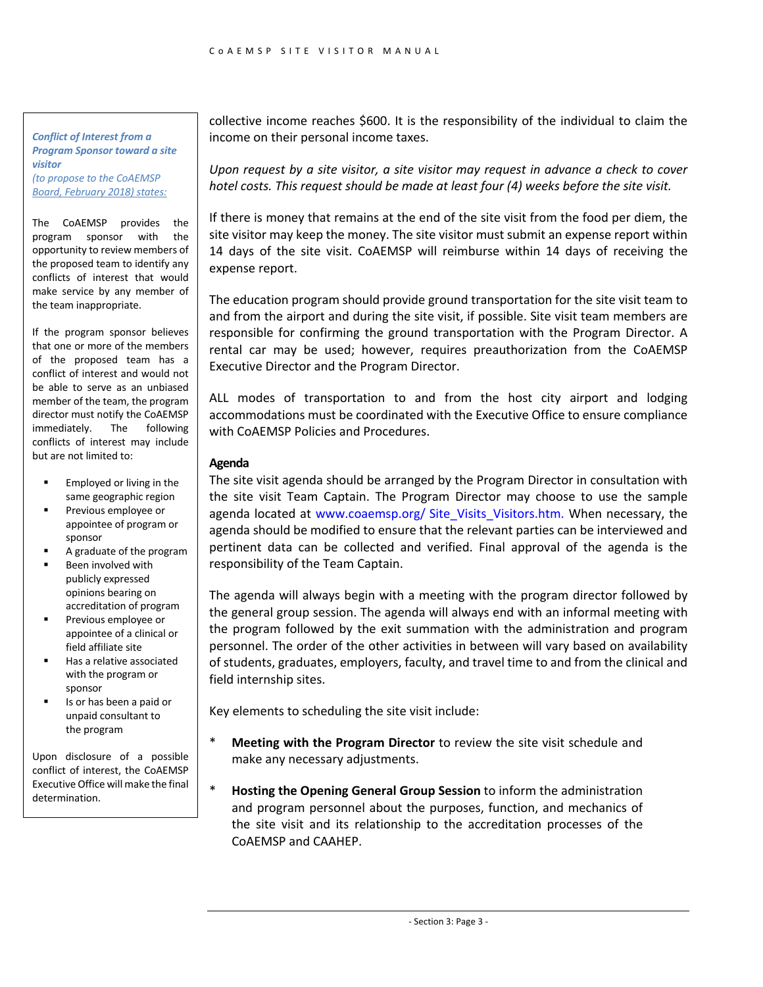#### *Conflict of Interest from a Program Sponsor toward a site visitor (to propose to the CoAEMSP Board, February 2018) states:*

The CoAEMSP provides the program sponsor with the opportunity to review members of the proposed team to identify any conflicts of interest that would make service by any member of the team inappropriate.

If the program sponsor believes that one or more of the members of the proposed team has a conflict of interest and would not be able to serve as an unbiased member of the team, the program director must notify the CoAEMSP immediately. The following conflicts of interest may include but are not limited to:

- Employed or living in the same geographic region
- § Previous employee or appointee of program or sponsor
- A graduate of the program
- § Been involved with publicly expressed opinions bearing on accreditation of program
- § Previous employee or appointee of a clinical or field affiliate site
- **■** Has a relative associated with the program or sponsor
- § Is or has been a paid or unpaid consultant to the program

Upon disclosure of a possible conflict of interest, the CoAEMSP Executive Office will make the final determination.

collective income reaches \$600. It is the responsibility of the individual to claim the income on their personal income taxes.

*Upon request by a site visitor, a site visitor may request in advance a check to cover hotel costs. This request should be made at least four (4) weeks before the site visit.*

If there is money that remains at the end of the site visit from the food per diem, the site visitor may keep the money. The site visitor must submit an expense report within 14 days of the site visit. CoAEMSP will reimburse within 14 days of receiving the expense report.

The education program should provide ground transportation for the site visit team to and from the airport and during the site visit, if possible. Site visit team members are responsible for confirming the ground transportation with the Program Director. A rental car may be used; however, requires preauthorization from the CoAEMSP Executive Director and the Program Director.

ALL modes of transportation to and from the host city airport and lodging accommodations must be coordinated with the Executive Office to ensure compliance with CoAEMSP Policies and Procedures.

#### **Agenda**

The site visit agenda should be arranged by the Program Director in consultation with the site visit Team Captain. The Program Director may choose to use the sample agenda located at www.coaemsp.org/ Site\_Visits\_Visitors.htm. When necessary, the agenda should be modified to ensure that the relevant parties can be interviewed and pertinent data can be collected and verified. Final approval of the agenda is the responsibility of the Team Captain.

The agenda will always begin with a meeting with the program director followed by the general group session. The agenda will always end with an informal meeting with the program followed by the exit summation with the administration and program personnel. The order of the other activities in between will vary based on availability of students, graduates, employers, faculty, and travel time to and from the clinical and field internship sites.

Key elements to scheduling the site visit include:

- **Meeting with the Program Director** to review the site visit schedule and make any necessary adjustments.
- \* **Hosting the Opening General Group Session** to inform the administration and program personnel about the purposes, function, and mechanics of the site visit and its relationship to the accreditation processes of the CoAEMSP and CAAHEP.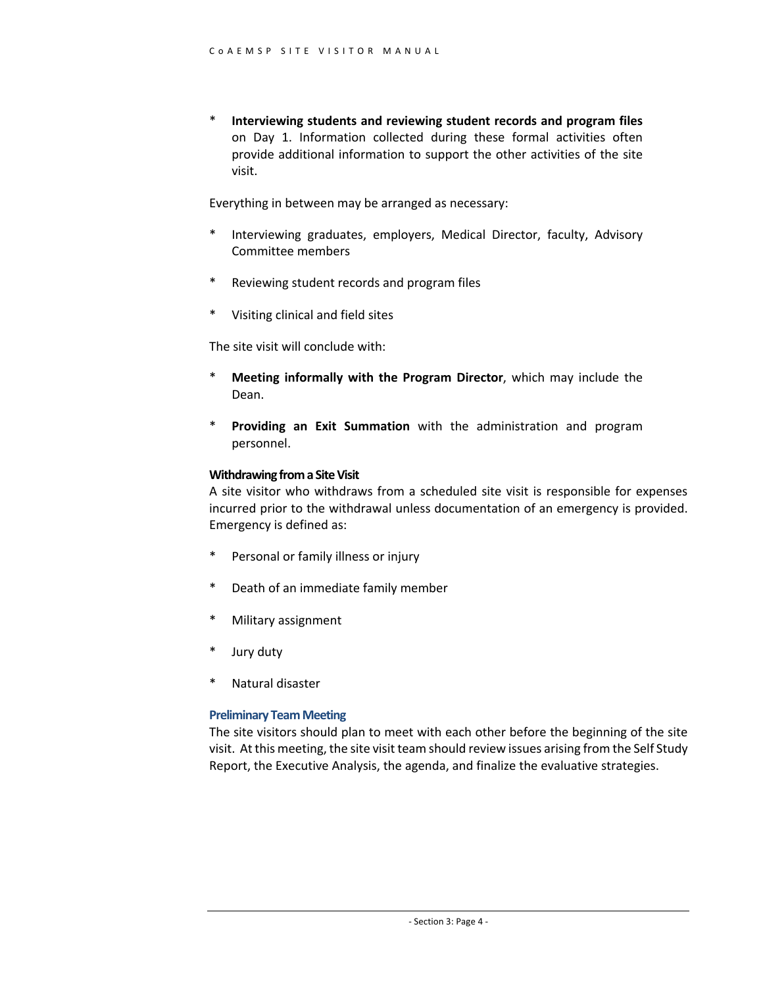\* **Interviewing students and reviewing student records and program files** on Day 1. Information collected during these formal activities often provide additional information to support the other activities of the site visit.

Everything in between may be arranged as necessary:

- \* Interviewing graduates, employers, Medical Director, faculty, Advisory Committee members
- \* Reviewing student records and program files
- \* Visiting clinical and field sites

The site visit will conclude with:

- \* **Meeting informally with the Program Director**, which may include the Dean.
- \* **Providing an Exit Summation** with the administration and program personnel.

#### **Withdrawing from a Site Visit**

A site visitor who withdraws from a scheduled site visit is responsible for expenses incurred prior to the withdrawal unless documentation of an emergency is provided. Emergency is defined as:

- \* Personal or family illness or injury
- \* Death of an immediate family member
- \* Military assignment
- Jury duty
- Natural disaster

#### **Preliminary Team Meeting**

The site visitors should plan to meet with each other before the beginning of the site visit. At this meeting, the site visit team should review issues arising from the Self Study Report, the Executive Analysis, the agenda, and finalize the evaluative strategies.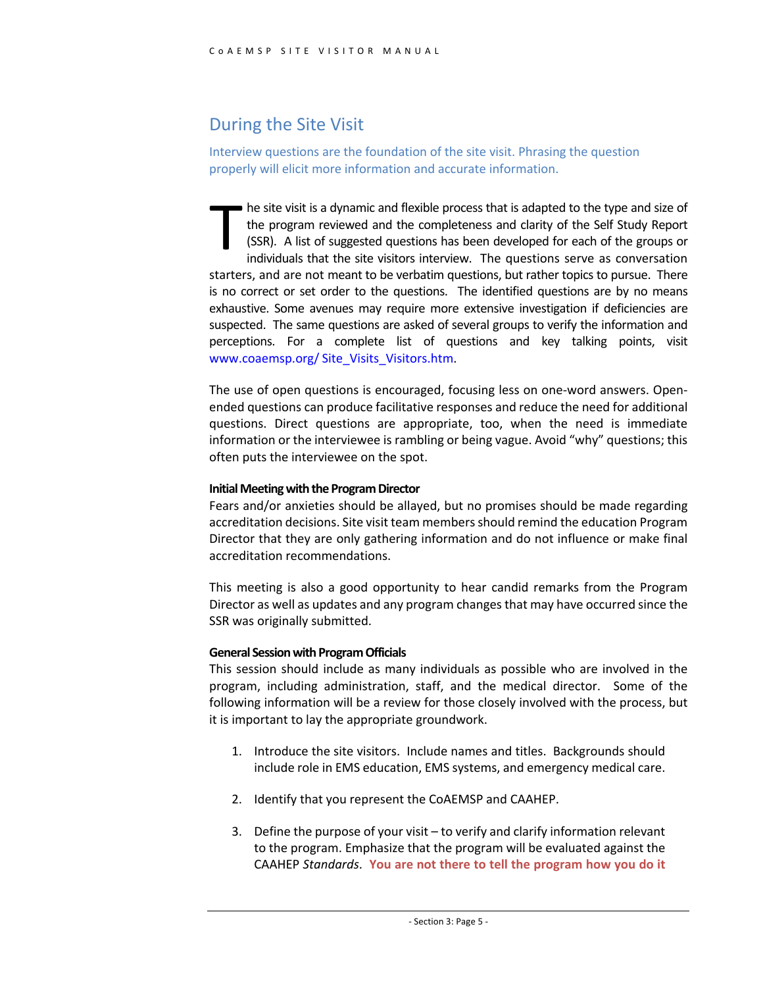#### During the Site Visit

Interview questions are the foundation of the site visit. Phrasing the question properly will elicit more information and accurate information.

he site visit is a dynamic and flexible process that is adapted to the type and size of the program reviewed and the completeness and clarity of the Self Study Report (SSR). A list of suggested questions has been developed for each of the groups or individuals that the site visitors interview. The questions serve as conversation starters, and are not meant to be verbatim questions, but rather topics to pursue. There is no correct or set order to the questions. The identified questions are by no means exhaustive. Some avenues may require more extensive investigation if deficiencies are suspected. The same questions are asked of several groups to verify the information and perceptions. For a complete list of questions and key talking points, visit www.coaemsp.org/ Site\_Visits\_Visitors.htm. T

The use of open questions is encouraged, focusing less on one-word answers. Openended questions can produce facilitative responses and reduce the need for additional questions. Direct questions are appropriate, too, when the need is immediate information or the interviewee is rambling or being vague. Avoid "why" questions; this often puts the interviewee on the spot.

#### **Initial Meeting with the Program Director**

Fears and/or anxieties should be allayed, but no promises should be made regarding accreditation decisions. Site visit team members should remind the education Program Director that they are only gathering information and do not influence or make final accreditation recommendations.

This meeting is also a good opportunity to hear candid remarks from the Program Director as well as updates and any program changes that may have occurred since the SSR was originally submitted.

#### **General Session with Program Officials**

This session should include as many individuals as possible who are involved in the program, including administration, staff, and the medical director. Some of the following information will be a review for those closely involved with the process, but it is important to lay the appropriate groundwork.

- 1. Introduce the site visitors. Include names and titles. Backgrounds should include role in EMS education, EMS systems, and emergency medical care.
- 2. Identify that you represent the CoAEMSP and CAAHEP.
- 3. Define the purpose of your visit to verify and clarify information relevant to the program. Emphasize that the program will be evaluated against the CAAHEP *Standards*. **You are not there to tell the program how you do it**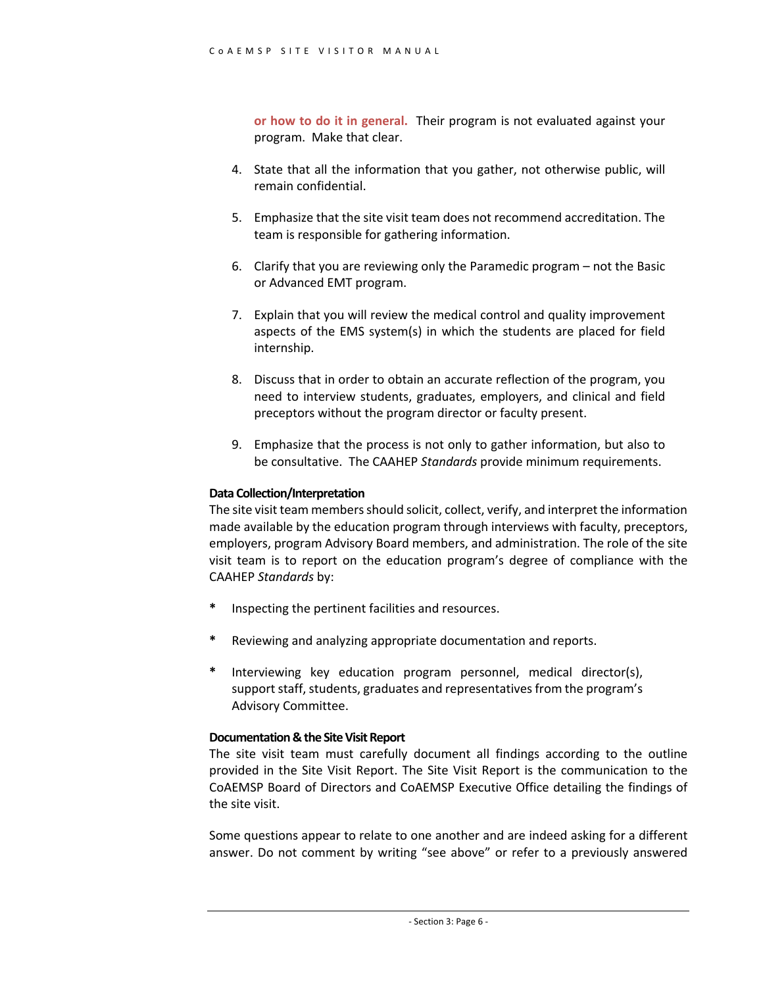**or how to do it in general.** Their program is not evaluated against your program. Make that clear.

- 4. State that all the information that you gather, not otherwise public, will remain confidential.
- 5. Emphasize that the site visit team does not recommend accreditation. The team is responsible for gathering information.
- 6. Clarify that you are reviewing only the Paramedic program not the Basic or Advanced EMT program.
- 7. Explain that you will review the medical control and quality improvement aspects of the EMS system(s) in which the students are placed for field internship.
- 8. Discuss that in order to obtain an accurate reflection of the program, you need to interview students, graduates, employers, and clinical and field preceptors without the program director or faculty present.
- 9. Emphasize that the process is not only to gather information, but also to be consultative. The CAAHEP *Standards* provide minimum requirements.

#### **Data Collection/Interpretation**

The site visit team members should solicit, collect, verify, and interpret the information made available by the education program through interviews with faculty, preceptors, employers, program Advisory Board members, and administration. The role of the site visit team is to report on the education program's degree of compliance with the CAAHEP *Standards* by:

- **\*** Inspecting the pertinent facilities and resources.
- **\*** Reviewing and analyzing appropriate documentation and reports.
- Interviewing key education program personnel, medical director(s), support staff, students, graduates and representatives from the program's Advisory Committee.

#### **Documentation & the Site Visit Report**

The site visit team must carefully document all findings according to the outline provided in the Site Visit Report. The Site Visit Report is the communication to the CoAEMSP Board of Directors and CoAEMSP Executive Office detailing the findings of the site visit.

Some questions appear to relate to one another and are indeed asking for a different answer. Do not comment by writing "see above" or refer to a previously answered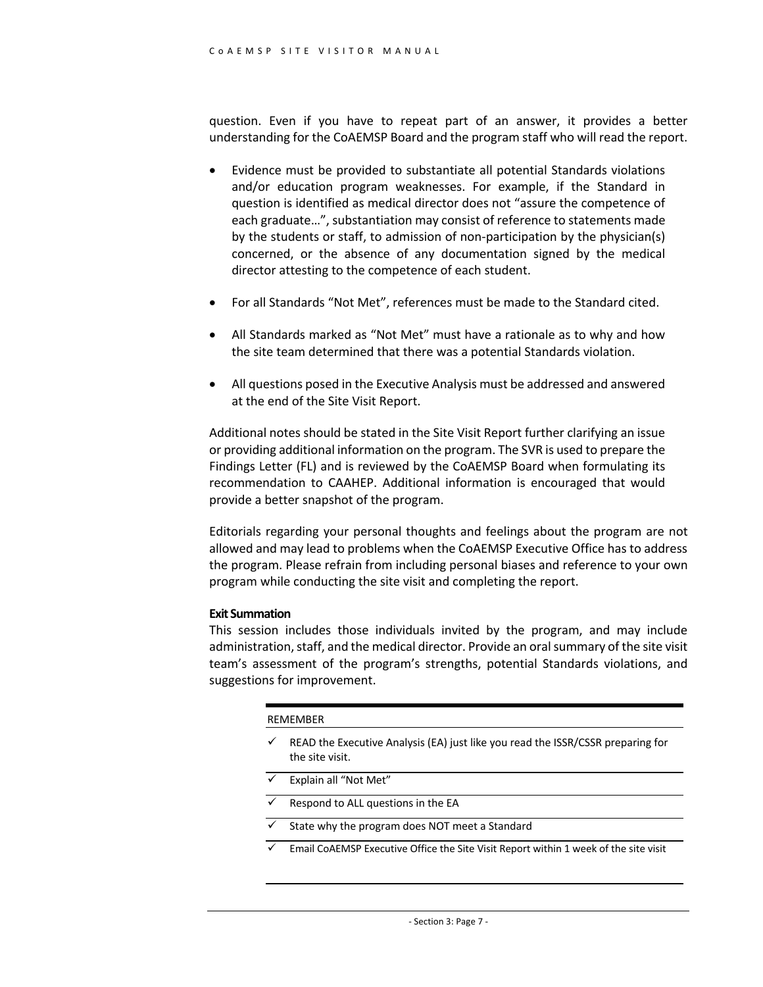question. Even if you have to repeat part of an answer, it provides a better understanding for the CoAEMSP Board and the program staff who will read the report.

- Evidence must be provided to substantiate all potential Standards violations and/or education program weaknesses. For example, if the Standard in question is identified as medical director does not "assure the competence of each graduate…", substantiation may consist of reference to statements made by the students or staff, to admission of non-participation by the physician(s) concerned, or the absence of any documentation signed by the medical director attesting to the competence of each student.
- For all Standards "Not Met", references must be made to the Standard cited.
- All Standards marked as "Not Met" must have a rationale as to why and how the site team determined that there was a potential Standards violation.
- All questions posed in the Executive Analysis must be addressed and answered at the end of the Site Visit Report.

Additional notes should be stated in the Site Visit Report further clarifying an issue or providing additional information on the program. The SVR is used to prepare the Findings Letter (FL) and is reviewed by the CoAEMSP Board when formulating its recommendation to CAAHEP. Additional information is encouraged that would provide a better snapshot of the program.

Editorials regarding your personal thoughts and feelings about the program are not allowed and may lead to problems when the CoAEMSP Executive Office has to address the program. Please refrain from including personal biases and reference to your own program while conducting the site visit and completing the report.

#### **Exit Summation**

This session includes those individuals invited by the program, and may include administration, staff, and the medical director. Provide an oral summary of the site visit team's assessment of the program's strengths, potential Standards violations, and suggestions for improvement.

#### REMEMBER

- $\checkmark$  READ the Executive Analysis (EA) just like you read the ISSR/CSSR preparing for the site visit.
- $\checkmark$  Explain all "Not Met" Respond to ALL questions in the EA State why the program does NOT meet a Standard Email CoAEMSP Executive Office the Site Visit Report within 1 week of the site visit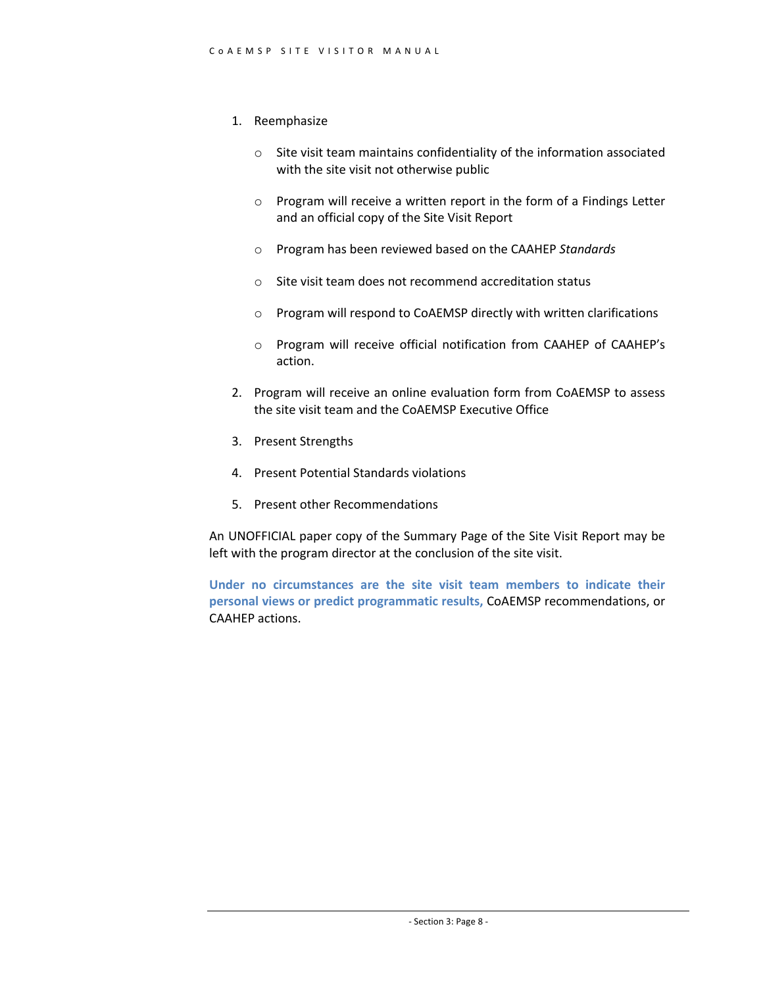- 1. Reemphasize
	- o Site visit team maintains confidentiality of the information associated with the site visit not otherwise public
	- o Program will receive a written report in the form of a Findings Letter and an official copy of the Site Visit Report
	- o Program has been reviewed based on the CAAHEP *Standards*
	- o Site visit team does not recommend accreditation status
	- o Program will respond to CoAEMSP directly with written clarifications
	- o Program will receive official notification from CAAHEP of CAAHEP's action.
- 2. Program will receive an online evaluation form from CoAEMSP to assess the site visit team and the CoAEMSP Executive Office
- 3. Present Strengths
- 4. Present Potential Standards violations
- 5. Present other Recommendations

An UNOFFICIAL paper copy of the Summary Page of the Site Visit Report may be left with the program director at the conclusion of the site visit.

**Under no circumstances are the site visit team members to indicate their personal views or predict programmatic results,** CoAEMSP recommendations, or CAAHEP actions.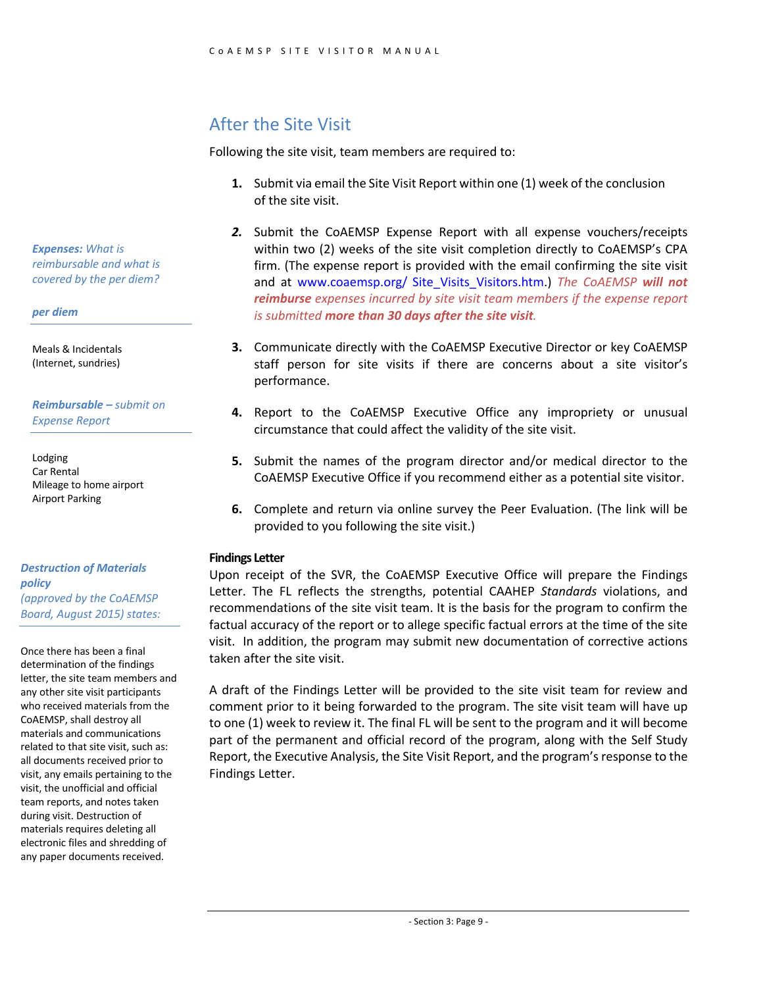#### After the Site Visit

Following the site visit, team members are required to:

- **1.** Submit via email the Site Visit Report within one (1) week of the conclusion of the site visit.
- *2.* Submit the CoAEMSP Expense Report with all expense vouchers/receipts within two (2) weeks of the site visit completion directly to CoAEMSP's CPA firm. (The expense report is provided with the email confirming the site visit and at www.coaemsp.org/ Site\_Visits\_Visitors.htm.) *The CoAEMSP will not reimburse expenses incurred by site visit team members if the expense report is submitted more than 30 days after the site visit.*
- **3.** Communicate directly with the CoAEMSP Executive Director or key CoAEMSP staff person for site visits if there are concerns about a site visitor's performance.
- **4.** Report to the CoAEMSP Executive Office any impropriety or unusual circumstance that could affect the validity of the site visit.
- **5.** Submit the names of the program director and/or medical director to the CoAEMSP Executive Office if you recommend either as a potential site visitor.
- **6.** Complete and return via online survey the Peer Evaluation. (The link will be provided to you following the site visit.)

#### **Findings Letter**

Upon receipt of the SVR, the CoAEMSP Executive Office will prepare the Findings Letter. The FL reflects the strengths, potential CAAHEP *Standards* violations, and recommendations of the site visit team. It is the basis for the program to confirm the factual accuracy of the report or to allege specific factual errors at the time of the site visit. In addition, the program may submit new documentation of corrective actions taken after the site visit.

A draft of the Findings Letter will be provided to the site visit team for review and comment prior to it being forwarded to the program. The site visit team will have up to one (1) week to review it. The final FL will be sent to the program and it will become part of the permanent and official record of the program, along with the Self Study Report, the Executive Analysis, the Site Visit Report, and the program's response to the Findings Letter.

*Expenses: What is reimbursable and what is covered by the per diem?*

*per diem* 

Meals & Incidentals (Internet, sundries)

*Reimbursable – submit on Expense Report*

Lodging Car Rental Mileage to home airport Airport Parking

*Destruction of Materials policy (approved by the CoAEMSP Board, August 2015) states:*

Once there has been a final determination of the findings letter, the site team members and any other site visit participants who received materials from the CoAEMSP, shall destroy all materials and communications related to that site visit, such as: all documents received prior to visit, any emails pertaining to the visit, the unofficial and official team reports, and notes taken during visit. Destruction of materials requires deleting all electronic files and shredding of any paper documents received.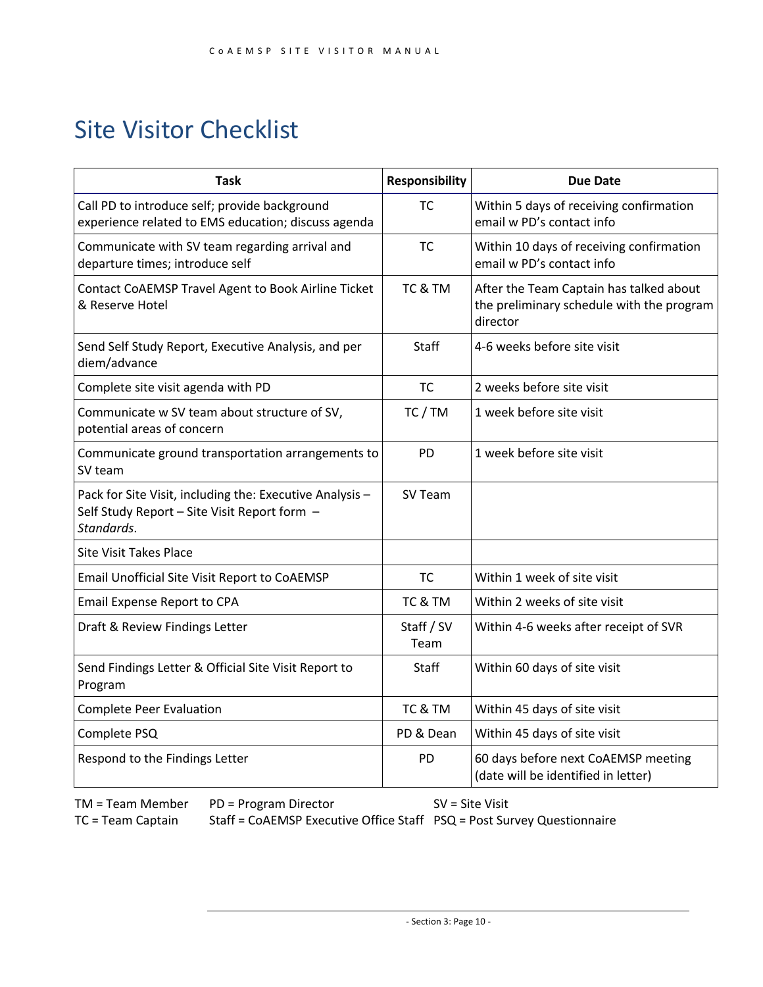## Site Visitor Checklist

| Task                                                                                                                   | <b>Responsibility</b> | <b>Due Date</b>                                                                                  |
|------------------------------------------------------------------------------------------------------------------------|-----------------------|--------------------------------------------------------------------------------------------------|
| Call PD to introduce self; provide background<br>experience related to EMS education; discuss agenda                   | <b>TC</b>             | Within 5 days of receiving confirmation<br>email w PD's contact info                             |
| Communicate with SV team regarding arrival and<br>departure times; introduce self                                      | <b>TC</b>             | Within 10 days of receiving confirmation<br>email w PD's contact info                            |
| Contact CoAEMSP Travel Agent to Book Airline Ticket<br>& Reserve Hotel                                                 | TC & TM               | After the Team Captain has talked about<br>the preliminary schedule with the program<br>director |
| Send Self Study Report, Executive Analysis, and per<br>diem/advance                                                    | Staff                 | 4-6 weeks before site visit                                                                      |
| Complete site visit agenda with PD                                                                                     | <b>TC</b>             | 2 weeks before site visit                                                                        |
| Communicate w SV team about structure of SV,<br>potential areas of concern                                             | TC / TM               | 1 week before site visit                                                                         |
| Communicate ground transportation arrangements to<br>SV team                                                           | <b>PD</b>             | 1 week before site visit                                                                         |
| Pack for Site Visit, including the: Executive Analysis -<br>Self Study Report - Site Visit Report form -<br>Standards. | SV Team               |                                                                                                  |
| <b>Site Visit Takes Place</b>                                                                                          |                       |                                                                                                  |
| Email Unofficial Site Visit Report to CoAEMSP                                                                          | <b>TC</b>             | Within 1 week of site visit                                                                      |
| Email Expense Report to CPA                                                                                            | TC & TM               | Within 2 weeks of site visit                                                                     |
| Draft & Review Findings Letter                                                                                         | Staff / SV<br>Team    | Within 4-6 weeks after receipt of SVR                                                            |
| Send Findings Letter & Official Site Visit Report to<br>Program                                                        | Staff                 | Within 60 days of site visit                                                                     |
| <b>Complete Peer Evaluation</b>                                                                                        | TC & TM               | Within 45 days of site visit                                                                     |
| Complete PSQ                                                                                                           | PD & Dean             | Within 45 days of site visit                                                                     |
| Respond to the Findings Letter                                                                                         | PD                    | 60 days before next CoAEMSP meeting<br>(date will be identified in letter)                       |

TM = Team Member PD = Program Director SV = Site Visit

TC = Team Captain Staff = CoAEMSP Executive Office Staff PSQ = Post Survey Questionnaire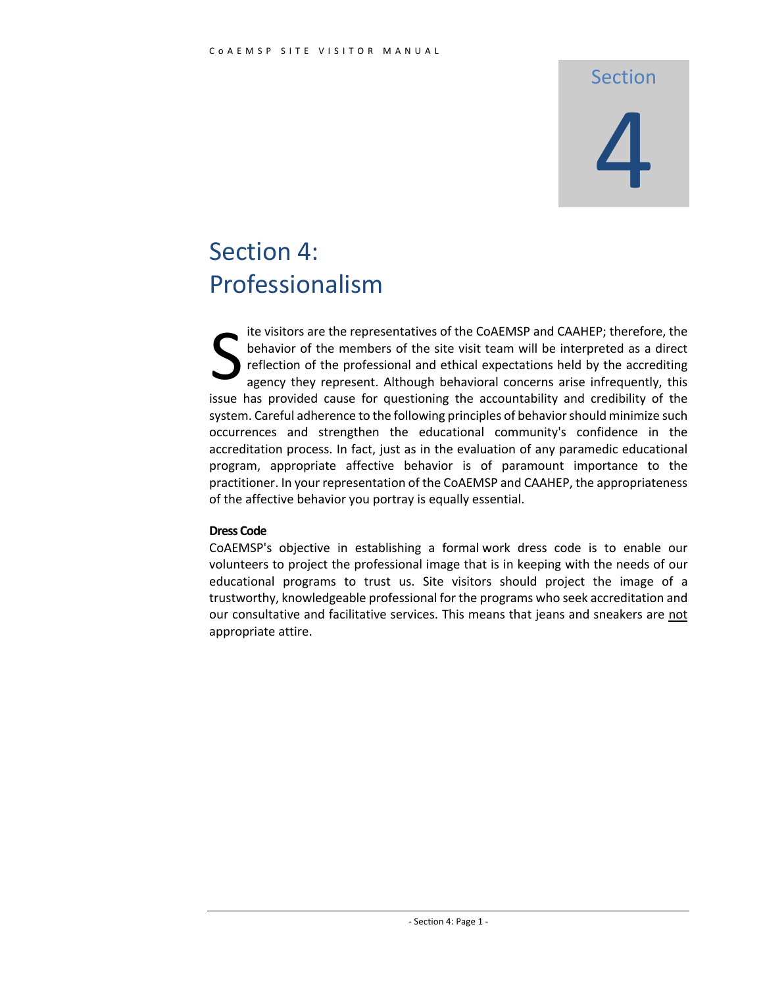### Section

# 4

# Section 4: Professionalism

ite visitors are the representatives of the CoAEMSP and CAAHEP; therefore, the behavior of the members of the site visit team will be interpreted as a direct reflection of the professional and ethical expectations held by the accrediting agency they represent. Although behavioral concerns arise infrequently, this issue has provided cause for questioning the accountability and credibility of the system. Careful adherence to the following principles of behavior should minimize such occurrences and strengthen the educational community's confidence in the accreditation process. In fact, just as in the evaluation of any paramedic educational program, appropriate affective behavior is of paramount importance to the practitioner. In your representation of the CoAEMSP and CAAHEP, the appropriateness of the affective behavior you portray is equally essential. S

#### **Dress Code**

CoAEMSP's objective in establishing a formal work dress code is to enable our volunteers to project the professional image that is in keeping with the needs of our educational programs to trust us. Site visitors should project the image of a trustworthy, knowledgeable professional for the programs who seek accreditation and our consultative and facilitative services. This means that jeans and sneakers are not appropriate attire.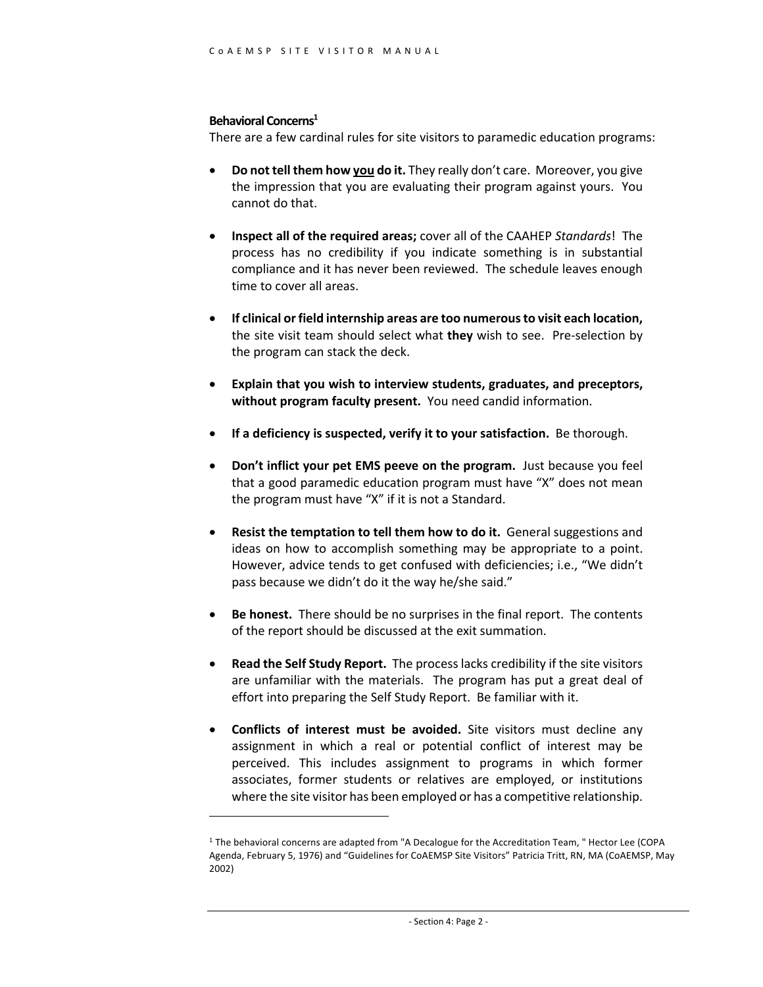#### **Behavioral Concerns1**

There are a few cardinal rules for site visitors to paramedic education programs:

- **Do not tell them how you do it.** They really don't care. Moreover, you give the impression that you are evaluating their program against yours. You cannot do that.
- **Inspect all of the required areas;** cover all of the CAAHEP *Standards*! The process has no credibility if you indicate something is in substantial compliance and it has never been reviewed. The schedule leaves enough time to cover all areas.
- **If clinical or field internship areas are too numerous to visit each location,** the site visit team should select what **they** wish to see. Pre-selection by the program can stack the deck.
- **Explain that you wish to interview students, graduates, and preceptors, without program faculty present.** You need candid information.
- **If a deficiency is suspected, verify it to your satisfaction.** Be thorough.
- **Don't inflict your pet EMS peeve on the program.** Just because you feel that a good paramedic education program must have "X" does not mean the program must have "X" if it is not a Standard.
- **Resist the temptation to tell them how to do it.** General suggestions and ideas on how to accomplish something may be appropriate to a point. However, advice tends to get confused with deficiencies; i.e., "We didn't pass because we didn't do it the way he/she said."
- **Be honest.** There should be no surprises in the final report. The contents of the report should be discussed at the exit summation.
- **Read the Self Study Report.** The process lacks credibility if the site visitors are unfamiliar with the materials. The program has put a great deal of effort into preparing the Self Study Report. Be familiar with it.
- **Conflicts of interest must be avoided.** Site visitors must decline any assignment in which a real or potential conflict of interest may be perceived. This includes assignment to programs in which former associates, former students or relatives are employed, or institutions where the site visitor has been employed or has a competitive relationship.

<sup>1</sup> The behavioral concerns are adapted from "A Decalogue for the Accreditation Team, " Hector Lee (COPA Agenda, February 5, 1976) and "Guidelines for CoAEMSP Site Visitors" Patricia Tritt, RN, MA (CoAEMSP, May 2002)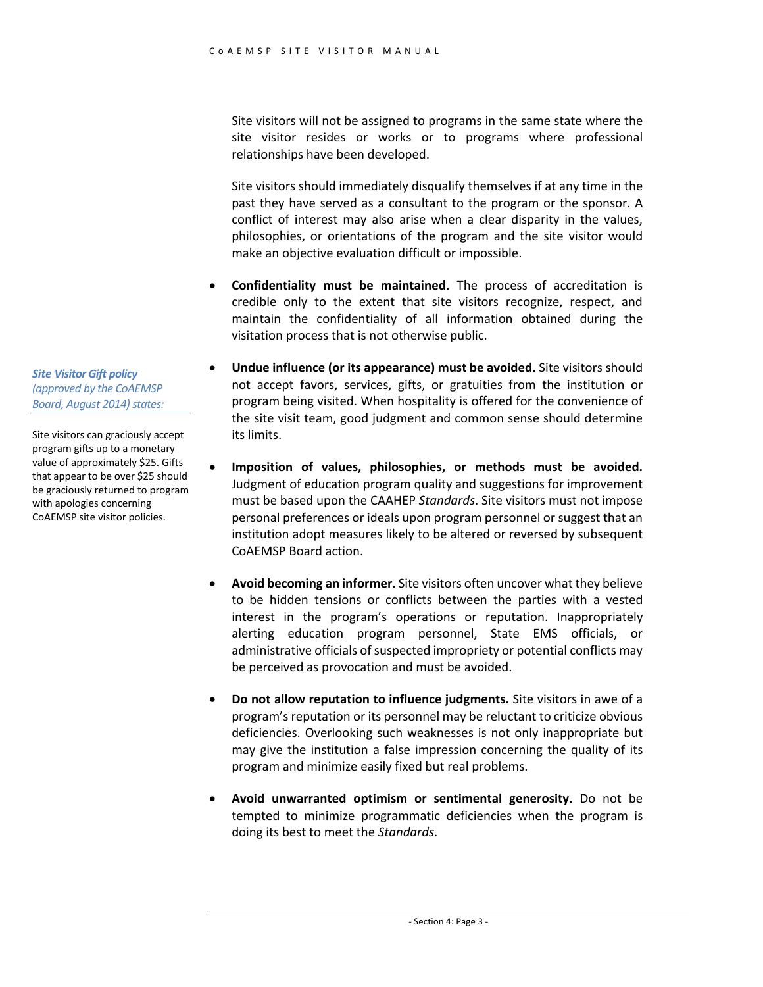Site visitors will not be assigned to programs in the same state where the site visitor resides or works or to programs where professional relationships have been developed.

Site visitors should immediately disqualify themselves if at any time in the past they have served as a consultant to the program or the sponsor. A conflict of interest may also arise when a clear disparity in the values, philosophies, or orientations of the program and the site visitor would make an objective evaluation difficult or impossible.

- **Confidentiality must be maintained.** The process of accreditation is credible only to the extent that site visitors recognize, respect, and maintain the confidentiality of all information obtained during the visitation process that is not otherwise public.
- **Undue influence (or its appearance) must be avoided.** Site visitors should not accept favors, services, gifts, or gratuities from the institution or program being visited. When hospitality is offered for the convenience of the site visit team, good judgment and common sense should determine its limits.
- **Imposition of values, philosophies, or methods must be avoided.** Judgment of education program quality and suggestions for improvement must be based upon the CAAHEP *Standards*. Site visitors must not impose personal preferences or ideals upon program personnel or suggest that an institution adopt measures likely to be altered or reversed by subsequent CoAEMSP Board action.
- **Avoid becoming an informer.** Site visitors often uncover what they believe to be hidden tensions or conflicts between the parties with a vested interest in the program's operations or reputation. Inappropriately alerting education program personnel, State EMS officials, or administrative officials of suspected impropriety or potential conflicts may be perceived as provocation and must be avoided.
- **Do not allow reputation to influence judgments.** Site visitors in awe of a program's reputation or its personnel may be reluctant to criticize obvious deficiencies. Overlooking such weaknesses is not only inappropriate but may give the institution a false impression concerning the quality of its program and minimize easily fixed but real problems.
- **Avoid unwarranted optimism or sentimental generosity.** Do not be tempted to minimize programmatic deficiencies when the program is doing its best to meet the *Standards*.

*Site Visitor Gift policy (approved by the CoAEMSP Board, August 2014) states:*

Site visitors can graciously accept program gifts up to a monetary value of approximately \$25. Gifts that appear to be over \$25 should be graciously returned to program with apologies concerning CoAEMSP site visitor policies.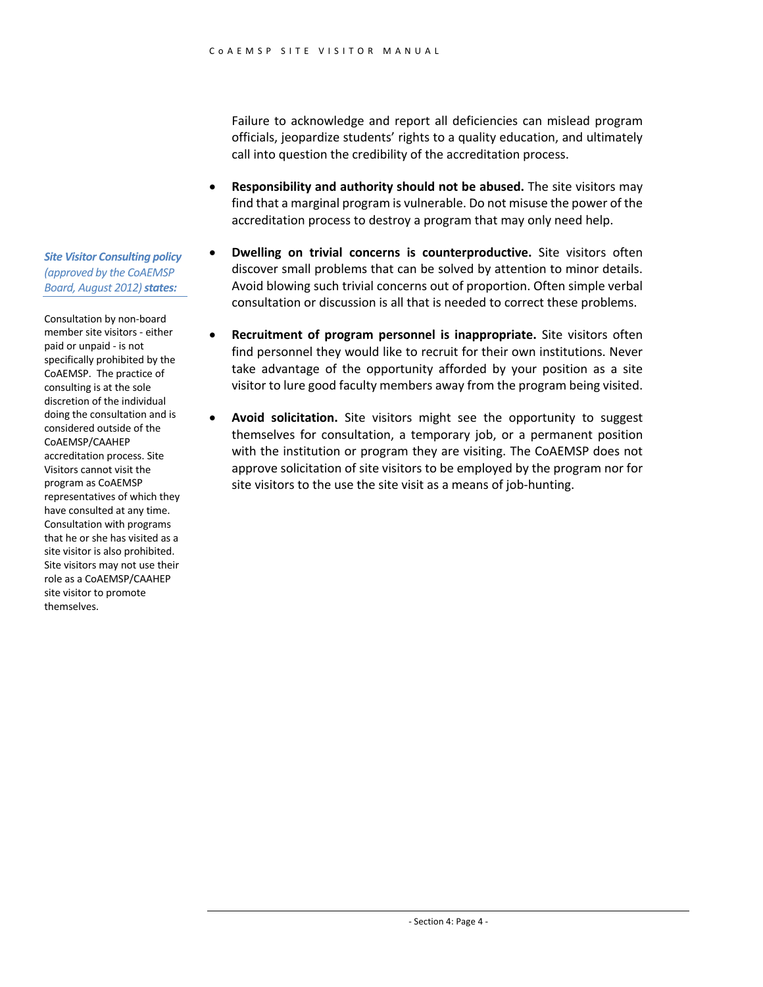Failure to acknowledge and report all deficiencies can mislead program officials, jeopardize students' rights to a quality education, and ultimately call into question the credibility of the accreditation process.

- **Responsibility and authority should not be abused.** The site visitors may find that a marginal program is vulnerable. Do not misuse the power of the accreditation process to destroy a program that may only need help.
- **Dwelling on trivial concerns is counterproductive.** Site visitors often discover small problems that can be solved by attention to minor details. Avoid blowing such trivial concerns out of proportion. Often simple verbal consultation or discussion is all that is needed to correct these problems.
- **Recruitment of program personnel is inappropriate.** Site visitors often find personnel they would like to recruit for their own institutions. Never take advantage of the opportunity afforded by your position as a site visitor to lure good faculty members away from the program being visited.
- **Avoid solicitation.** Site visitors might see the opportunity to suggest themselves for consultation, a temporary job, or a permanent position with the institution or program they are visiting. The CoAEMSP does not approve solicitation of site visitors to be employed by the program nor for site visitors to the use the site visit as a means of job-hunting.

*Site Visitor Consulting policy (approved by the CoAEMSP Board, August 2012) states:* 

Consultation by non-board member site visitors - either paid or unpaid - is not specifically prohibited by the CoAEMSP. The practice of consulting is at the sole discretion of the individual doing the consultation and is considered outside of the CoAEMSP/CAAHEP accreditation process. Site Visitors cannot visit the program as CoAEMSP representatives of which they have consulted at any time. Consultation with programs that he or she has visited as a site visitor is also prohibited. Site visitors may not use their role as a CoAEMSP/CAAHEP site visitor to promote themselves.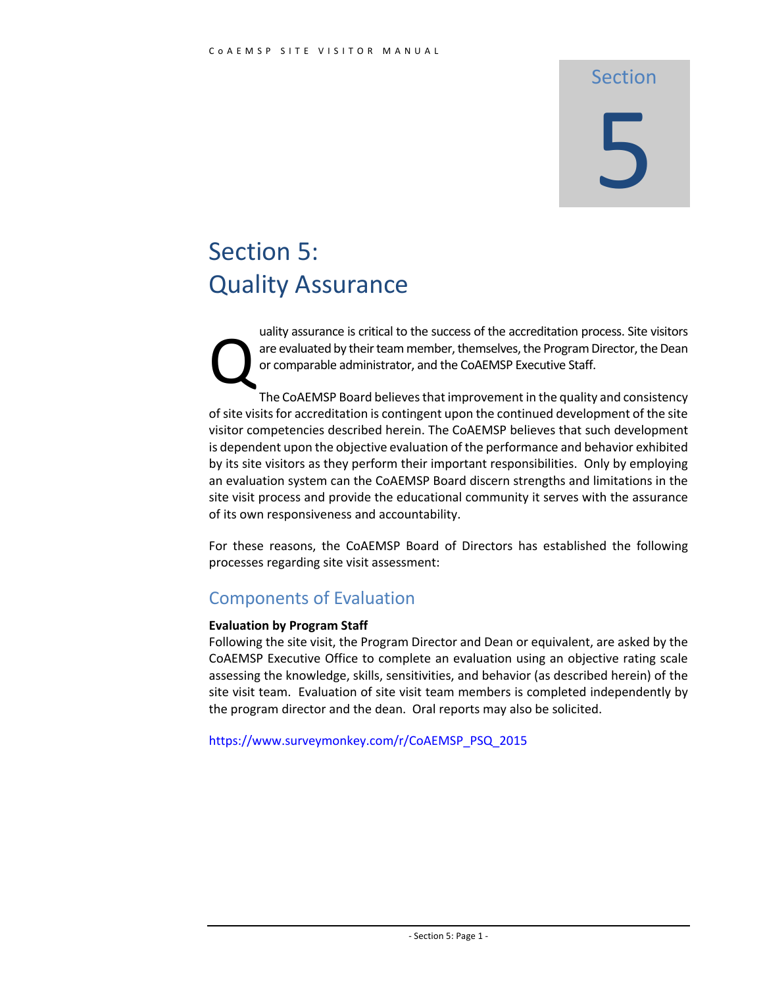# Section 5

# Section 5: Quality Assurance

uality assurance is critical to the success of the accreditation process. Site visitors are evaluated by their team member, themselves, the Program Director, the Dean or comparable administrator, and the CoAEMSP Executive Staff. Q

The CoAEMSP Board believes that improvement in the quality and consistency of site visits for accreditation is contingent upon the continued development of the site visitor competencies described herein. The CoAEMSP believes that such development is dependent upon the objective evaluation of the performance and behavior exhibited by its site visitors as they perform their important responsibilities. Only by employing an evaluation system can the CoAEMSP Board discern strengths and limitations in the site visit process and provide the educational community it serves with the assurance of its own responsiveness and accountability.

For these reasons, the CoAEMSP Board of Directors has established the following processes regarding site visit assessment:

#### Components of Evaluation

#### **Evaluation by Program Staff**

Following the site visit, the Program Director and Dean or equivalent, are asked by the CoAEMSP Executive Office to complete an evaluation using an objective rating scale assessing the knowledge, skills, sensitivities, and behavior (as described herein) of the site visit team. Evaluation of site visit team members is completed independently by the program director and the dean. Oral reports may also be solicited.

https://www.surveymonkey.com/r/CoAEMSP\_PSQ\_2015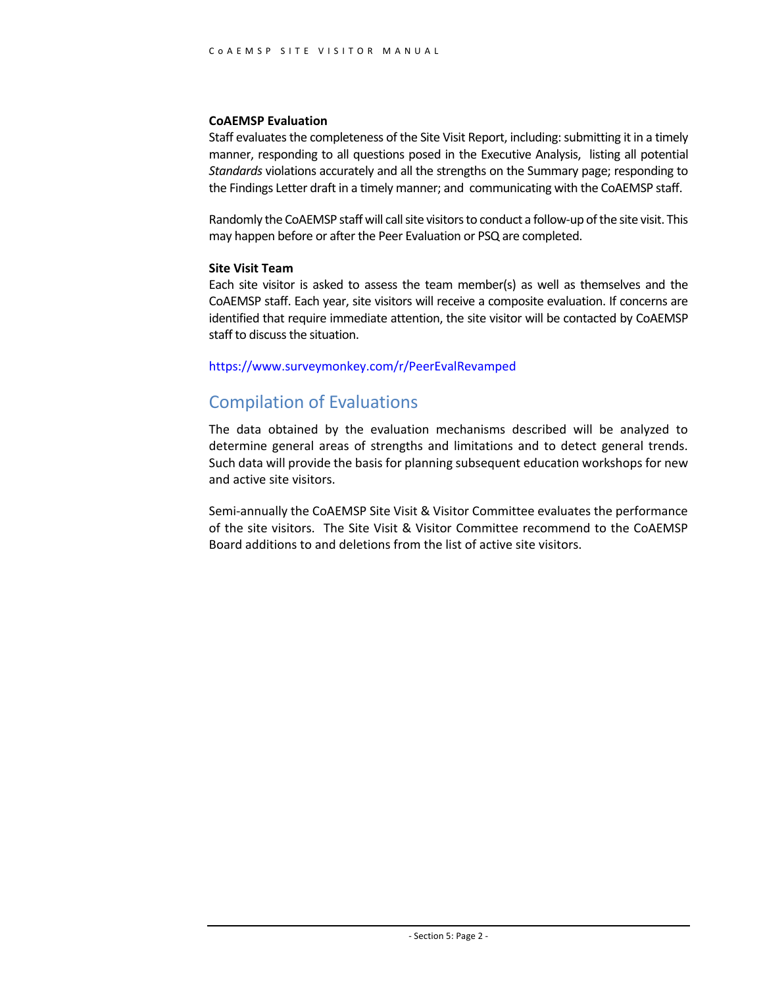#### **CoAEMSP Evaluation**

Staff evaluates the completeness of the Site Visit Report, including: submitting it in a timely manner, responding to all questions posed in the Executive Analysis, listing all potential *Standards* violations accurately and all the strengths on the Summary page; responding to the Findings Letter draft in a timely manner; and communicating with the CoAEMSP staff.

Randomly the CoAEMSP staff will call site visitors to conduct a follow-up of the site visit. This may happen before or after the Peer Evaluation or PSQ are completed.

#### **Site Visit Team**

Each site visitor is asked to assess the team member(s) as well as themselves and the CoAEMSP staff. Each year, site visitors will receive a composite evaluation. If concerns are identified that require immediate attention, the site visitor will be contacted by CoAEMSP staff to discuss the situation.

#### https://www.surveymonkey.com/r/PeerEvalRevamped

#### Compilation of Evaluations

The data obtained by the evaluation mechanisms described will be analyzed to determine general areas of strengths and limitations and to detect general trends. Such data will provide the basis for planning subsequent education workshops for new and active site visitors.

Semi-annually the CoAEMSP Site Visit & Visitor Committee evaluates the performance of the site visitors. The Site Visit & Visitor Committee recommend to the CoAEMSP Board additions to and deletions from the list of active site visitors.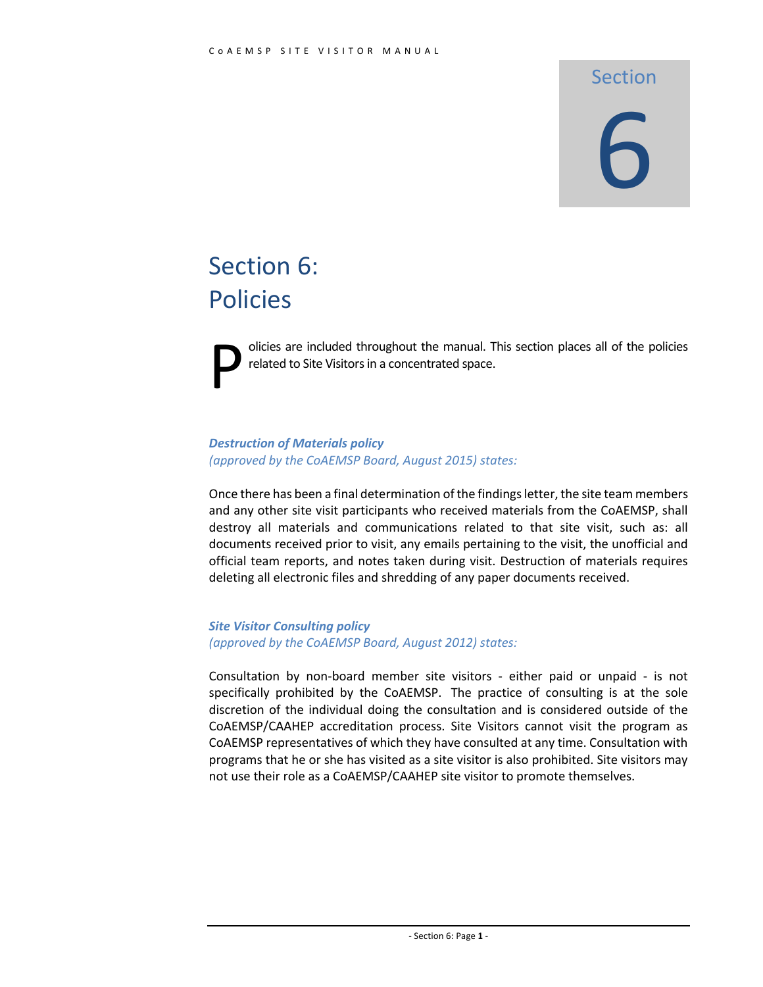#### Section

# 6

# Section 6: Policies

olicies are included throughout the manual. This section places all of the policies related to Site Visitors in a concentrated space. P

#### *Destruction of Materials policy (approved by the CoAEMSP Board, August 2015) states:*

Once there has been a final determination of the findings letter, the site team members and any other site visit participants who received materials from the CoAEMSP, shall destroy all materials and communications related to that site visit, such as: all documents received prior to visit, any emails pertaining to the visit, the unofficial and official team reports, and notes taken during visit. Destruction of materials requires deleting all electronic files and shredding of any paper documents received.

*Site Visitor Consulting policy (approved by the CoAEMSP Board, August 2012) states:* 

Consultation by non-board member site visitors - either paid or unpaid - is not specifically prohibited by the CoAEMSP. The practice of consulting is at the sole discretion of the individual doing the consultation and is considered outside of the CoAEMSP/CAAHEP accreditation process. Site Visitors cannot visit the program as CoAEMSP representatives of which they have consulted at any time. Consultation with programs that he or she has visited as a site visitor is also prohibited. Site visitors may not use their role as a CoAEMSP/CAAHEP site visitor to promote themselves.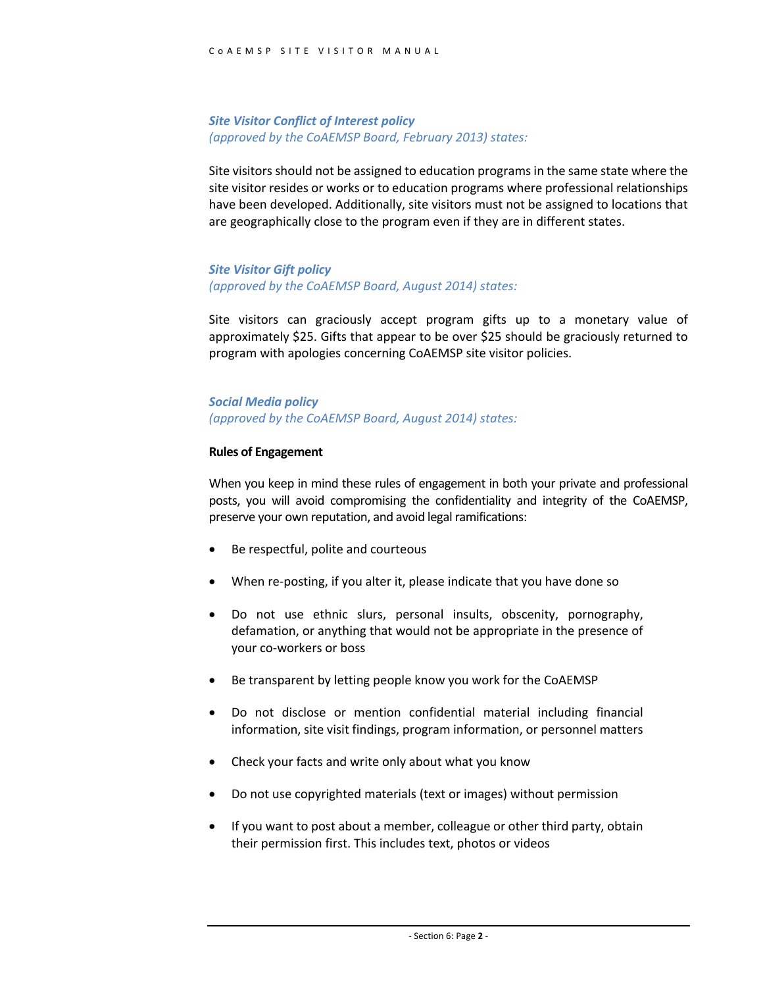#### *Site Visitor Conflict of Interest policy (approved by the CoAEMSP Board, February 2013) states:*

Site visitors should not be assigned to education programs in the same state where the site visitor resides or works or to education programs where professional relationships have been developed. Additionally, site visitors must not be assigned to locations that are geographically close to the program even if they are in different states.

#### *Site Visitor Gift policy (approved by the CoAEMSP Board, August 2014) states:*

Site visitors can graciously accept program gifts up to a monetary value of approximately \$25. Gifts that appear to be over \$25 should be graciously returned to program with apologies concerning CoAEMSP site visitor policies.

#### *Social Media policy (approved by the CoAEMSP Board, August 2014) states:*

#### **Rules of Engagement**

When you keep in mind these rules of engagement in both your private and professional posts, you will avoid compromising the confidentiality and integrity of the CoAEMSP, preserve your own reputation, and avoid legal ramifications:

- Be respectful, polite and courteous
- When re-posting, if you alter it, please indicate that you have done so
- Do not use ethnic slurs, personal insults, obscenity, pornography, defamation, or anything that would not be appropriate in the presence of your co-workers or boss
- Be transparent by letting people know you work for the CoAEMSP
- Do not disclose or mention confidential material including financial information, site visit findings, program information, or personnel matters
- Check your facts and write only about what you know
- Do not use copyrighted materials (text or images) without permission
- If you want to post about a member, colleague or other third party, obtain their permission first. This includes text, photos or videos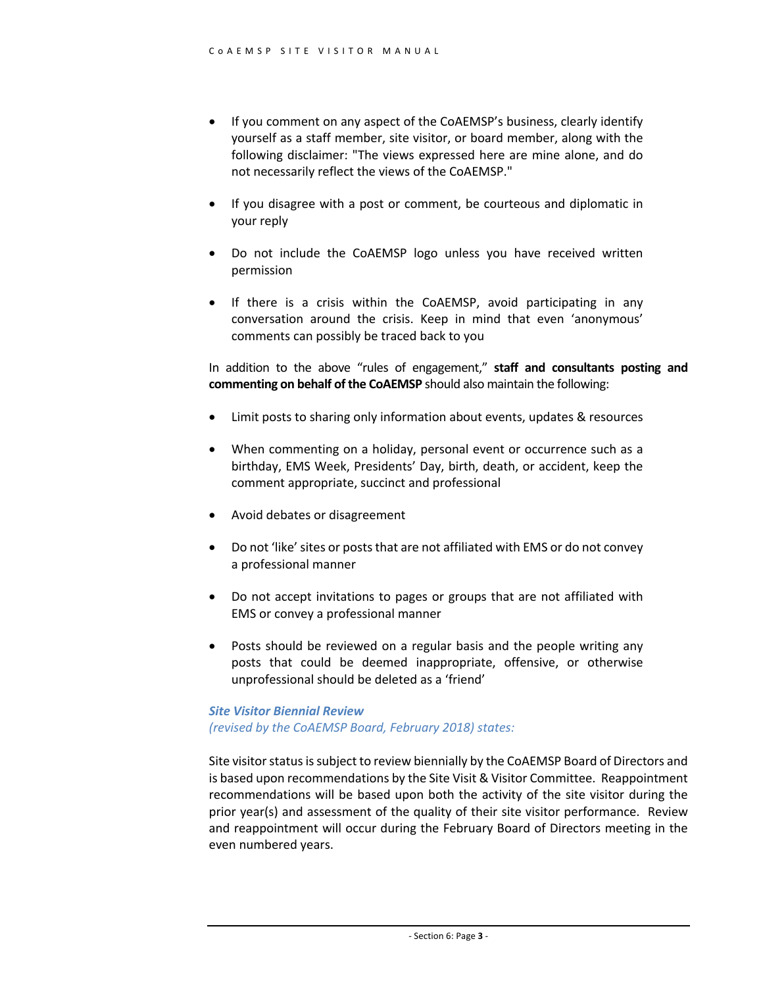- If you comment on any aspect of the CoAEMSP's business, clearly identify yourself as a staff member, site visitor, or board member, along with the following disclaimer: "The views expressed here are mine alone, and do not necessarily reflect the views of the CoAEMSP."
- If you disagree with a post or comment, be courteous and diplomatic in your reply
- Do not include the CoAEMSP logo unless you have received written permission
- If there is a crisis within the CoAEMSP, avoid participating in any conversation around the crisis. Keep in mind that even 'anonymous' comments can possibly be traced back to you

In addition to the above "rules of engagement," **staff and consultants posting and commenting on behalf of the CoAEMSP** should also maintain the following:

- Limit posts to sharing only information about events, updates & resources
- When commenting on a holiday, personal event or occurrence such as a birthday, EMS Week, Presidents' Day, birth, death, or accident, keep the comment appropriate, succinct and professional
- Avoid debates or disagreement
- Do not 'like' sites or posts that are not affiliated with EMS or do not convey a professional manner
- Do not accept invitations to pages or groups that are not affiliated with EMS or convey a professional manner
- Posts should be reviewed on a regular basis and the people writing any posts that could be deemed inappropriate, offensive, or otherwise unprofessional should be deleted as a 'friend'

#### *Site Visitor Biennial Review (revised by the CoAEMSP Board, February 2018) states:*

Site visitor status is subject to review biennially by the CoAEMSP Board of Directors and is based upon recommendations by the Site Visit & Visitor Committee. Reappointment recommendations will be based upon both the activity of the site visitor during the prior year(s) and assessment of the quality of their site visitor performance. Review and reappointment will occur during the February Board of Directors meeting in the even numbered years.